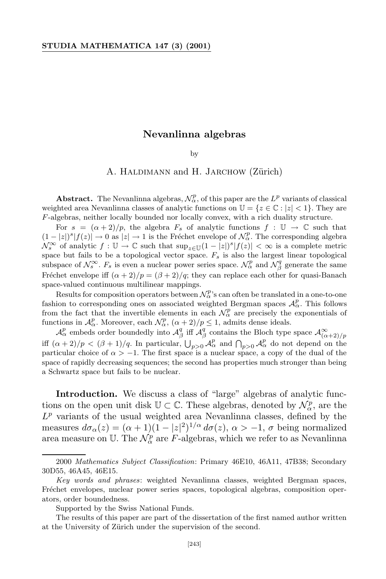## **Nevanlinna algebras**

## by

## A. HALDIMANN and H. JARCHOW (Zürich)

**Abstract.** The Nevanlinna algebras,  $\mathcal{N}_{\alpha}^p$ , of this paper are the  $L^p$  variants of classical weighted area Nevanlinna classes of analytic functions on  $\mathbb{U} = \{z \in \mathbb{C} : |z| < 1\}$ . They are *F*-algebras, neither locally bounded nor locally convex, with a rich duality structure.

For  $s = (\alpha + 2)/p$ , the algebra  $F_s$  of analytic functions  $f : \mathbb{U} \to \mathbb{C}$  such that  $(1 - |z|)^s |f(z)| \to 0$  as  $|z| \to 1$  is the Fréchet envelope of  $\mathcal{N}_{\alpha}^p$ . The corresponding algebra *N*<sup>∞</sup><sub>*s*</sub> of analytic *f* :  $\mathbb{U} \to \mathbb{C}$  such that  $\sup_{z \in \mathbb{U}} (1 - |z|)^s |f(z)| < \infty$  is a complete metric space but fails to be a topological vector space. *Fs* is also the largest linear topological subspace of  $\mathcal{N}_s^{\infty}$ .  $F_s$  is even a nuclear power series space.  $\mathcal{N}_{\alpha}^p$  and  $\mathcal{N}_{\beta}^q$  generate the same Fréchet envelope iff  $(\alpha + 2)/p = (\beta + 2)/q$ ; they can replace each other for quasi-Banach space-valued continuous multilinear mappings.

Results for composition operators between  $\mathcal{N}_{\alpha}^p$ 's can often be translated in a one-to-one fashion to corresponding ones on associated weighted Bergman spaces  $\mathcal{A}_{\alpha}^p$ . This follows from the fact that the invertible elements in each  $\mathcal{N}_{\alpha}^p$  are precisely the exponentials of functions in  $\mathcal{A}_{\alpha}^p$ . Moreover, each  $\mathcal{N}_{\alpha}^p$ ,  $(\alpha + 2)/p \leq 1$ , admits dense ideals.

 $\mathcal{A}_{\alpha}^p$  embeds order boundedly into  $\mathcal{A}_{\beta}^q$  iff  $\mathcal{A}_{\beta}^q$  contains the Bloch type space  $\mathcal{A}_{(\alpha+2)/p}^{\infty}$ iff  $(\alpha + 2)/p < (\beta + 1)/q$ . In particular,  $\bigcup_{p>0} A^p_\alpha$  and  $\bigcap_{p>0} A^p_\alpha$  do not depend on the particular choice of  $\alpha > -1$ . The first space is a nuclear space, a copy of the dual of the space of rapidly decreasing sequences; the second has properties much stronger than being a Schwartz space but fails to be nuclear.

Introduction. We discuss a class of "large" algebras of analytic functions on the open unit disk  $\mathbb{U} \subset \mathbb{C}$ . These algebras, denoted by  $\mathcal{N}_{\alpha}^p$ , are the  $L^p$  variants of the usual weighted area Nevanlinna classes, defined by the measures  $d\sigma_{\alpha}(z) = (\alpha + 1)(1 - |z|^2)^{1/\alpha} d\sigma(z)$ ,  $\alpha > -1$ ,  $\sigma$  being normalized area measure on U. The  $\mathcal{N}_{\alpha}^p$  are *F*-algebras, which we refer to as Nevanlinna

<sup>2000</sup> *Mathematics Subject Classification*: Primary 46E10, 46A11, 47B38; Secondary 30D55, 46A45, 46E15.

*Key words and phrases*: weighted Nevanlinna classes, weighted Bergman spaces, Fréchet envelopes, nuclear power series spaces, topological algebras, composition operators, order boundedness.

Supported by the Swiss National Funds.

The results of this paper are part of the dissertation of the first named author written at the University of Zürich under the supervision of the second.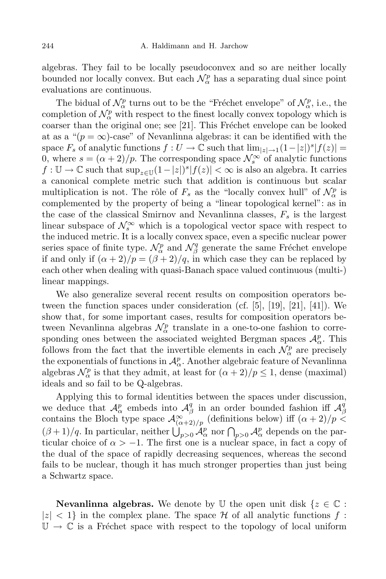algebras. They fail to be locally pseudoconvex and so are neither locally bounded nor locally convex. But each  $\mathcal{N}_{\alpha}^p$  has a separating dual since point evaluations are continuous.

The bidual of  $\mathcal{N}_{\alpha}^p$  turns out to be the "Fréchet envelope" of  $\mathcal{N}_{\alpha}^p$ , i.e., the completion of  $\mathcal{N}_{\alpha}^p$  with respect to the finest locally convex topology which is coarser than the original one; see  $[21]$ . This Fréchet envelope can be looked at as a " $(p = \infty)$ -case" of Nevanlinna algebras: it can be identified with the space  $F_s$  of analytic functions  $f: U \to \mathbb{C}$  such that  $\lim_{|z| \to 1} (1-|z|)^s |f(z)| =$ 0, where  $s = (\alpha + 2)/p$ . The corresponding space  $\mathcal{N}_s^{\infty}$  of analytic functions *f* :  $\mathbb{U}$  →  $\mathbb{C}$  such that  $\sup_{z \in \mathbb{U}} (1 - |z|)^s |f(z)| < \infty$  is also an algebra. It carries a canonical complete metric such that addition is continuous but scalar multiplication is not. The rôle of  $F_s$  as the "locally convex hull" of  $\mathcal{N}_{\alpha}^p$  is complemented by the property of being a "linear topological kernel": as in the case of the classical Smirnov and Nevanlinna classes, *F<sup>s</sup>* is the largest linear subspace of  $\mathcal{N}_s^{\infty}$  which is a topological vector space with respect to the induced metric. It is a locally convex space, even a specific nuclear power series space of finite type.  $\mathcal{N}_{\alpha}^{p}$  and  $\mathcal{N}_{\beta}^{q}$  $\beta$ <sup>q</sup> generate the same Fréchet envelope if and only if  $(\alpha + 2)/p = (\beta + 2)/q$ , in which case they can be replaced by each other when dealing with quasi-Banach space valued continuous (multi-) linear mappings.

We also generalize several recent results on composition operators between the function spaces under consideration (cf.  $[5]$ ,  $[19]$ ,  $[21]$ ,  $[41]$ ). We show that, for some important cases, results for composition operators between Nevanlinna algebras  $\mathcal{N}_{\alpha}^{p}$  translate in a one-to-one fashion to corresponding ones between the associated weighted Bergman spaces  $\mathcal{A}_{\alpha}^{p}$ . This follows from the fact that the invertible elements in each  $\mathcal{N}_{\alpha}^p$  are precisely the exponentials of functions in  $\mathcal{A}^p_\alpha$ . Another algebraic feature of Nevanlinna algebras  $\mathcal{N}_{\alpha}^{p}$  is that they admit, at least for  $(\alpha + 2)/p \leq 1$ , dense (maximal) ideals and so fail to be Q-algebras.

Applying this to formal identities between the spaces under discussion, we deduce that  $\mathcal{A}_{\alpha}^{p}$  embeds into  $\mathcal{A}_{\beta}^{q}$  $\beta$  in an order bounded fashion iff  $\mathcal{A}_{\beta}^q$ *β* contains the Bloch type space  $\mathcal{A}^{\infty}_{(\alpha+2)/p}$  (definitions below) iff  $(\alpha+2)/p <$  $(\beta+1)/q$ . In particular, neither  $\bigcup_{p>0} A^p_\alpha$  nor  $\bigcap_{p>0} A^p_\alpha$  depends on the particular choice of  $\alpha > -1$ . The first one is a nuclear space, in fact a copy of the dual of the space of rapidly decreasing sequences, whereas the second fails to be nuclear, though it has much stronger properties than just being a Schwartz space.

**Nevanlinna algebras.** We denote by U the open unit disk  $\{z \in \mathbb{C}$ :  $|z| < 1$  in the complex plane. The space *H* of all analytic functions *f* :  $\mathbb{U} \to \mathbb{C}$  is a Fréchet space with respect to the topology of local uniform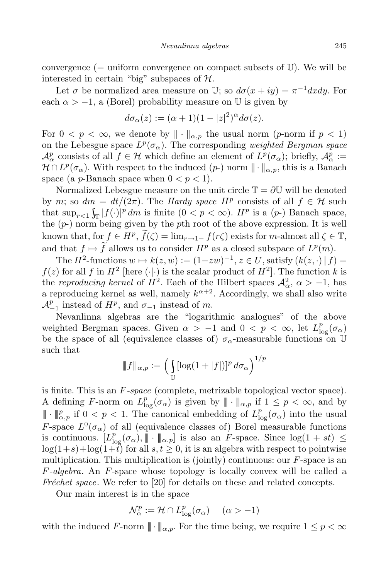convergence ( $=$  uniform convergence on compact subsets of  $\mathbb{U}$ ). We will be interested in certain "big" subspaces of *H*.

Let  $\sigma$  be normalized area measure on U; so  $d\sigma(x+iy) = \pi^{-1}dxdy$ . For each  $\alpha$  >  $-1$ , a (Borel) probability measure on U is given by

$$
d\sigma_{\alpha}(z) := (\alpha + 1)(1 - |z|^2)^{\alpha} d\sigma(z).
$$

For  $0 < p < \infty$ , we denote by  $\|\cdot\|_{\alpha,p}$  the usual norm (*p*-norm if  $p < 1$ ) on the Lebesgue space  $L^p(\sigma_\alpha)$ . The corresponding *weighted Bergman space*  $\mathcal{A}^p_\alpha$  consists of all  $f \in \mathcal{H}$  which define an element of  $L^p(\sigma_\alpha)$ ; briefly,  $\mathcal{A}^p_\alpha :=$  $\mathcal{H} \cap L^p(\sigma_\alpha)$ . With respect to the induced  $(p-)$  norm  $\|\cdot\|_{\alpha,p}$ , this is a Banach space (a *p*-Banach space when  $0 < p < 1$ ).

Normalized Lebesgue measure on the unit circle  $\mathbb{T} = \partial \mathbb{U}$  will be denoted by *m*; so  $dm = dt/(2\pi)$ . The *Hardy space*  $H^p$  consists of all  $f \in \mathcal{H}$  such that  $\sup_{r<1} \int_{\mathbb{T}} |f(\cdot)|^p dm$  is finite  $(0 < p < \infty)$ . *H*<sup>*p*</sup> is a  $(p-)$  Banach space, the (*p*-) norm being given by the *p*th root of the above expression. It is well known that, for  $f \in H^p$ ,  $f(\zeta) = \lim_{r \to 1^-} f(r\zeta)$  exists for *m*-almost all  $\zeta \in \mathbb{T}$ , and that  $f \mapsto f$  allows us to consider  $H^p$  as a closed subspace of  $L^p(m)$ .

The *H*<sup>2</sup>-functions  $w \mapsto k(z, w) := (1 - \overline{z}w)^{-1}, z \in U$ , satisfy  $(k(z, \cdot) | f) =$  $f(z)$  for all *f* in  $H^2$  [here (*·*|*·*) is the scalar product of  $H^2$ ]. The function *k* is the *reproducing* kernel of  $H^2$ . Each of the Hilbert spaces  $\mathcal{A}^2_{\alpha}$ ,  $\alpha > -1$ , has a reproducing kernel as well, namely  $k^{\alpha+2}$ . Accordingly, we shall also write  $\mathcal{A}_{-1}^p$  instead of *H*<sup>*p*</sup>, and  $\sigma_{-1}$  instead of *m*.

Nevanlinna algebras are the "logarithmic analogues" of the above weighted Bergman spaces. Given  $\alpha > -1$  and  $0 < p < \infty$ , let  $L_{\log}^p(\sigma_\alpha)$ be the space of all (equivalence classes of)  $\sigma_{\alpha}$ -measurable functions on U such that

$$
\|f\|_{\alpha,p} := \left(\int_{\mathbb{U}} [\log(1+|f|)]^p d\sigma_\alpha\right)^{1/p}
$$

is finite. This is an *F-space* (complete, metrizable topological vector space). A defining *F*-norm on  $L_{\log}^p(\sigma_\alpha)$  is given by  $\|\cdot\|_{\alpha,p}$  if  $1 \leq p < \infty$ , and by  $\|\cdot\|_{\alpha,p}^p$  if  $0 < p < 1$ . The canonical embedding of  $L_{\log}^p(\sigma_\alpha)$  into the usual *F*-space  $L^0(\sigma_\alpha)$  of all (equivalence classes of) Borel measurable functions is continuous.  $[L_{\log}^p(\sigma_\alpha), \|\cdot\|_{\alpha,p}]$  is also an *F*-space. Since  $\log(1+st) \le$  $log(1+s) + log(1+t)$  for all  $s, t \geq 0$ , it is an algebra with respect to pointwise multiplication. This multiplication is (jointly) continuous: our *F*-space is an *F-algebra*. An *F*-space whose topology is locally convex will be called a *Fréchet space*. We refer to [20] for details on these and related concepts.

Our main interest is in the space

$$
\mathcal{N}_{\alpha}^p := \mathcal{H} \cap L_{\log}^p(\sigma_{\alpha}) \quad (\alpha > -1)
$$

with the induced *F*-norm  $\|\cdot\|_{\alpha,p}$ . For the time being, we require  $1 \leq p < \infty$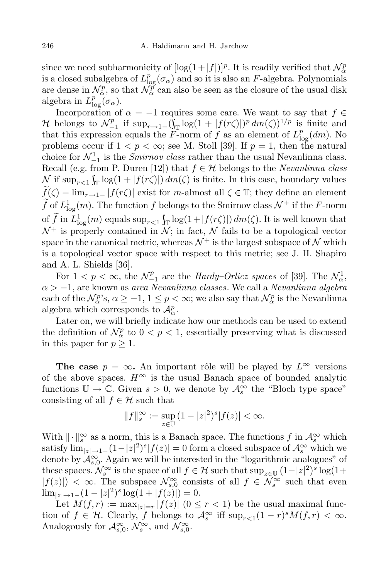since we need subharmonicity of  $[\log(1+|f|)]^p$ . It is readily verified that  $\mathcal{N}^p_\alpha$ is a closed subalgebra of  $L^p_{\log}(\sigma_\alpha)$  and so it is also an *F*-algebra. Polynomials are dense in  $\mathcal{N}_{\alpha}^p$ , so that  $\mathcal{N}_{\alpha}^p$  can also be seen as the closure of the usual disk algebra in  $L^p_{\log}(\sigma_\alpha)$ .

Incorporation of  $\alpha = -1$  requires some care. We want to say that  $f \in$ *H* belongs to  $\mathcal{N}_{-1}^p$  if  $\sup_{r\to 1^-} (\int_{\Gamma} \log(1+|f(r\zeta)|)^p dm(\zeta))^{1/p}$  is finite and that this expression equals the *F*-norm of *f* as an element of  $L_{\log}^p(dm)$ . No problems occur if  $1 < p < \infty$ ; see M. Stoll [39]. If  $p = 1$ , then the natural choice for  $\mathcal{N}_{-1}^1$  is the *Smirnov* class rather than the usual Nevanlinna class. Recall (e.g. from P. Duren [12]) that  $f \in \mathcal{H}$  belongs to the *Nevanlinna* class  $\int_{\infty}^{\infty}$  if sup<sub>*r*<1</sub>  $\int_{\mathbb{T}} \log(1 + |f(r\zeta)|) dm(\zeta)$  is finite. In this case, boundary values  $\widetilde{f}(\zeta) = \lim_{r \to 1^-} |f(r\zeta)|$  exist for *m*-almost all  $\zeta \in \mathbb{T}$ ; they define an element  $\hat{f}$  of  $L^1_{\text{log}}(m)$ . The function  $f$  belongs to the Smirnov class  $\mathcal{N}^+$  if the *F*-norm of *f* in  $L^1_{\log}(m)$  equals  $\sup_{r<1} \int_{\mathbb{T}} \log(1+|f(r\zeta)|) dm(\zeta)$ . It is well known that  $\mathcal{N}^+$  is properly contained in  $\mathcal{N}$ ; in fact,  $\mathcal N$  fails to be a topological vector space in the canonical metric, whereas  $\mathcal{N}^+$  is the largest subspace of  $\mathcal N$  which is a topological vector space with respect to this metric; see J. H. Shapiro and A. L. Shields [36].

For  $1 < p < \infty$ , the  $\mathcal{N}_{-1}^p$  are the *Hardy–Orlicz spaces* of [39]. The  $\mathcal{N}_{\alpha}^1$ , *α > −*1, are known as *area Nevanlinna classes*. We call a *Nevanlinna algebra* each of the  $\mathcal{N}_{\alpha}^{p}$ 's,  $\alpha \geq -1, 1 \leq p < \infty$ ; we also say that  $\mathcal{N}_{\alpha}^{p}$  is the Nevanlinna algebra which corresponds to  $\mathcal{A}_{\alpha}^p$ .

Later on, we will briefly indicate how our methods can be used to extend the definition of  $\mathcal{N}_{\alpha}^p$  to  $0 < p < 1$ , essentially preserving what is discussed in this paper for  $p \geq 1$ .

**The case**  $p = \infty$ . An important rôle will be played by  $L^{\infty}$  versions of the above spaces.  $H^{\infty}$  is the usual Banach space of bounded analytic functions  $\mathbb{U} \to \mathbb{C}$ . Given  $s > 0$ , we denote by  $\mathcal{A}_s^{\infty}$  the "Bloch type space" consisting of all  $f \in \mathcal{H}$  such that

$$
||f||_s^{\infty} := \sup_{z \in \mathbb{U}} (1 - |z|^2)^s |f(z)| < \infty.
$$

With  $\|\cdot\|_s^{\infty}$  as a norm, this is a Banach space. The functions  $f$  in  $\mathcal{A}_s^{\infty}$  which satisfy  $\lim_{|z| \to 1^-} (1 - |z|^2)^s |f(z)| = 0$  form a closed subspace of  $\mathcal{A}_s^{\infty}$  which we denote by  $\mathcal{A}_{s,0}^{\infty}$ . Again we will be interested in the "logarithmic analogues" of these spaces.  $\mathcal{N}_s^{\infty}$  is the space of all  $f \in \mathcal{H}$  such that  $\sup_{z \in \mathbb{U}} (1-|z|^2)^s \log(1+|z|^2)$  $|f(z)|$   $\leq \infty$ . The subspace  $\mathcal{N}_{s,0}^{\infty}$  consists of all  $f \in \mathcal{N}_{s}^{\infty}$  such that even  $\lim_{|z| \to 1^-} (1 - |z|^2)^s \log(1 + |f(z)|) = 0.$ 

Let  $M(f, r) := \max_{|z|=r} |f(z)| \ (0 \leq r < 1)$  be the usual maximal function of  $f \in \mathcal{H}$ . Clearly,  $f$  belongs to  $\mathcal{A}_s^{\infty}$  iff  $\sup_{r \leq 1} (1 - r)^s M(f, r) < \infty$ . Analogously for  $\mathcal{A}_{s,0}^{\infty}$ ,  $\mathcal{N}_s^{\infty}$ , and  $\mathcal{N}_{s,0}^{\infty}$ .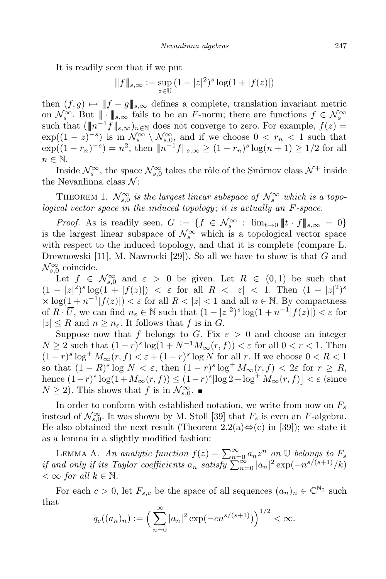It is readily seen that if we put

$$
\|f\|_{s,\infty} := \sup_{z \in \mathbb{U}} (1 - |z|^2)^s \log(1 + |f(z)|)
$$

then  $(f, g) \mapsto ||f - g||_{s, \infty}$  defines a complete, translation invariant metric on  $\mathcal{N}_s^{\infty}$ . But  $\| \cdot \|_{s,\infty}$  fails to be an *F*-norm; there are functions  $f \in \mathcal{N}_s^{\infty}$ such that  $(\|n^{-1}f\|_{s,\infty})_{n\in\mathbb{N}}$  does not converge to zero. For example,  $f(z)$  =  $\exp((1-z)^{-s})$  is in  $\mathcal{N}_s^{\infty} \setminus \mathcal{N}_{s,0}^{\infty}$ , and if we choose  $0 < r_n < 1$  such that  $\exp((1-r_n)^{-s}) = n^2$ , then  $||n^{-1}f||_{s,\infty} \ge (1-r_n)^s \log(n+1) \ge 1/2$  for all *n ∈* N.

Inside  $\mathcal{N}_s^{\infty}$ , the space  $\mathcal{N}_{s,0}^{\infty}$  takes the rôle of the Smirnov class  $\mathcal{N}^+$  inside the Nevanlinna class *N* :

THEOREM 1.  $\mathcal{N}_{s,0}^{\infty}$  *is the largest linear subspace of*  $\mathcal{N}_{s}^{\infty}$  *which is a topological vector space in the induced topology*; *it is actually an F-space.*

*Proof.* As is readily seen,  $G := \{ f \in \mathcal{N}_s^{\infty} : \lim_{t \to 0} ||t \cdot f||_{s, \infty} = 0 \}$ is the largest linear subspace of  $\mathcal{N}_s^{\infty}$  which is a topological vector space with respect to the induced topology, and that it is complete (compare L. Drewnowski [11], M. Nawrocki [29]). So all we have to show is that *G* and  $\mathcal{N}_{s,0}^{\infty}$  coincide.

Let  $f \in \mathcal{N}_{s,0}^{\infty}$  and  $\varepsilon > 0$  be given. Let  $R \in (0,1)$  be such that  $(1-|z|^2)^s \log(1+|f(z)|) < \varepsilon$  for all  $R < |z| < 1$ . Then  $(1-|z|^2)^s$  $\times$  log( $\frac{1}{\sqrt{2}}$  *n*<sup>-1</sup>| $f(z)$ |)  $\lt \varepsilon$  for all  $R \lt |z| \lt 1$  and all  $n \in \mathbb{N}$ . By compactness of  $R \cdot \overline{U}$ , we can find  $n_{\varepsilon} \in \mathbb{N}$  such that  $(1 - |z|^2)^s \log(1 + n^{-1}|f(z)|) < \varepsilon$  for  $|z| \leq R$  and  $n \geq n_{\varepsilon}$ . It follows that *f* is in *G*.

Suppose now that *f* belongs to *G*. Fix  $\varepsilon > 0$  and choose an integer  $N \geq 2$  such that  $(1 - r)^s \log(1 + N^{-1}M_\infty(r, f)) < \varepsilon$  for all  $0 < r < 1$ . Then  $(1 - r)^s \log^+ M_\infty(r, f) < \varepsilon$  +  $(1 - r)^s \log N$  for all *r*. If we choose 0 < R < 1  $\text{so that } (1 - R)^s \log N < \varepsilon, \text{ then } (1 - r)^s \log^+ M_\infty(r, f) < 2\varepsilon \text{ for } r \geq R,$ hence  $(1-r)^s \log(1+M_\infty(r, f)) \leq (1-r)^s [\log 2 + \log^+ M_\infty(r, f)] < \varepsilon$  (since  $N \geq 2$ ). This shows that *f* is in  $\mathcal{N}_{s,0}^{\infty}$ .

In order to conform with established notation, we write from now on *F<sup>s</sup>* instead of  $\mathcal{N}_{s,0}^{\infty}$ . It was shown by M. Stoll [39] that  $F_s$  is even an  $F$ -algebra. He also obtained the next result (Theorem 2.2(a)*⇔*(c) in [39]); we state it as a lemma in a slightly modified fashion:

LEMMA A. An analytic function  $f(z) = \sum_{n=0}^{\infty} a_n z^n$  on U belongs to  $F_s$ if and only if its Taylor coefficients  $a_n$  satisfy  $\sum_{n=0}^{\infty} |a_n|^2 \exp(-n^{s/(s+1)}/k)$  $\lt$   $\infty$  *for all*  $k \in \mathbb{N}$ .

For each  $c > 0$ , let  $F_{s,c}$  be the space of all sequences  $(a_n)_n \in \mathbb{C}^{\mathbb{N}_0}$  such that

$$
q_c((a_n)_n) := \left(\sum_{n=0}^{\infty} |a_n|^2 \exp(-cn^{s/(s+1)})\right)^{1/2} < \infty.
$$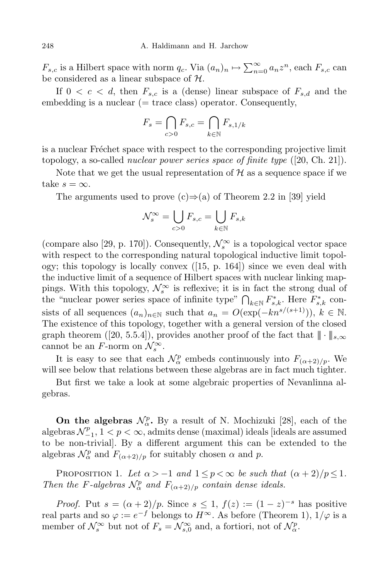$F_{s,c}$  is a Hilbert space with norm  $q_c$ . Via  $(a_n)_n \mapsto \sum_{n=0}^{\infty} a_n z^n$ , each  $F_{s,c}$  can be considered as a linear subspace of *H*.

If  $0 < c < d$ , then  $F_{s,c}$  is a (dense) linear subspace of  $F_{s,d}$  and the embedding is a nuclear  $(= trace \; class)$  operator. Consequently,

$$
F_s = \bigcap_{c>0} F_{s,c} = \bigcap_{k \in \mathbb{N}} F_{s,1/k}
$$

is a nuclear Fréchet space with respect to the corresponding projective limit topology, a so-called *nuclear power series space of finite type* ([20, Ch. 21]).

Note that we get the usual representation of  $H$  as a sequence space if we take  $s = \infty$ .

The arguments used to prove (c)*⇒*(a) of Theorem 2.2 in [39] yield

$$
\mathcal{N}^\infty_s = \bigcup_{c>0} F_{s,c} = \bigcup_{k\in\mathbb{N}} F_{s,k}
$$

(compare also [29, p. 170]). Consequently,  $\mathcal{N}_s^{\infty}$  is a topological vector space with respect to the corresponding natural topological inductive limit topology; this topology is locally convex ([15, p. 164]) since we even deal with the inductive limit of a sequence of Hilbert spaces with nuclear linking mappings. With this topology,  $\mathcal{N}_s^{\infty}$  is reflexive; it is in fact the strong dual of the "nuclear power series space of infinite type"  $\bigcap_{k \in \mathbb{N}} F_{s,k}^*$ . Here  $F_{s,k}^*$  consists of all sequences  $(a_n)_{n \in \mathbb{N}}$  such that  $a_n = O(\exp(-kn^{s/(s+1)})), k \in \mathbb{N}$ . The existence of this topology, together with a general version of the closed graph theorem ([20, 5.5.4]), provides another proof of the fact that  $\|\cdot\|_{s,\infty}$ cannot be an *F*-norm on  $\mathcal{N}_s^{\infty}$ .

It is easy to see that each  $\mathcal{N}_{\alpha}^p$  embeds continuously into  $F_{(\alpha+2)/p}$ . We will see below that relations between these algebras are in fact much tighter.

But first we take a look at some algebraic properties of Nevanlinna algebras.

**On the algebras**  $\mathcal{N}_{\alpha}^p$ . By a result of N. Mochizuki [28], each of the algebras  $\mathcal{N}_{-1}^p$ ,  $1 < p < \infty$ , admits dense (maximal) ideals [ideals are assumed to be non-trivial]. By a different argument this can be extended to the algebras  $\mathcal{N}_{\alpha}^p$  and  $F_{(\alpha+2)/p}$  for suitably chosen  $\alpha$  and  $p$ .

PROPOSITION 1. Let  $\alpha > -1$  and  $1 \leq p < \infty$  be such that  $(\alpha + 2)/p \leq 1$ . *Then the F*-*algebras*  $\mathcal{N}_{\alpha}^p$  *and*  $F_{(\alpha+2)/p}$  *contain dense ideals.* 

*Proof.* Put  $s = (\alpha + 2)/p$ . Since  $s \leq 1$ ,  $f(z) := (1-z)^{-s}$  has positive real parts and so  $\varphi := e^{-f}$  belongs to  $H^{\infty}$ . As before (Theorem 1),  $1/\varphi$  is a member of  $\mathcal{N}_s^{\infty}$  but not of  $F_s = \mathcal{N}_{s,0}^{\infty}$  and, a fortiori, not of  $\mathcal{N}_{\alpha}^p$ .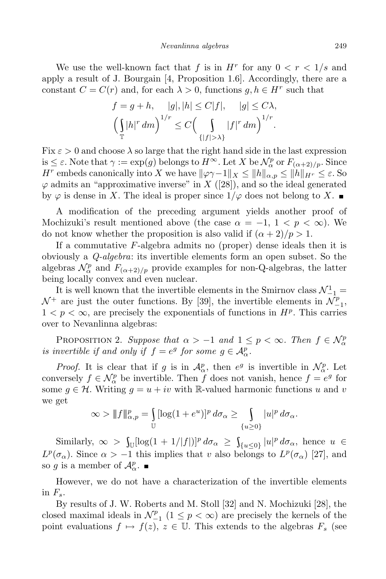We use the well-known fact that *f* is in  $H^r$  for any  $0 < r < 1/s$  and apply a result of J. Bourgain [4, Proposition 1.6]. Accordingly, there are a constant  $C = C(r)$  and, for each  $\lambda > 0$ , functions  $g, h \in H^r$  such that

$$
f = g + h, \quad |g|, |h| \le C|f|, \quad |g| \le C\lambda,
$$

$$
\left(\int_{\mathbb{T}} |h|^r \, dm\right)^{1/r} \le C\left(\int_{\{|f| > \lambda\}} |f|^r \, dm\right)^{1/r}.
$$

Fix  $\varepsilon > 0$  and choose  $\lambda$  so large that the right hand side in the last expression  $i s \leq \varepsilon$ . Note that  $\gamma := \exp(g)$  belongs to  $H^{\infty}$ . Let  $X$  be  $\mathcal{N}_{\alpha}^p$  or  $F_{(\alpha+2)/p}$ . Since *H*<sup>*r*</sup> embeds canonically into *X* we have  $\|\varphi \gamma - 1\|_X \leq \|h\|_{\alpha, p} \leq \|h\|_{H^r} \leq \varepsilon$ . So  $\varphi$  admits an "approximative inverse" in *X* ([28]), and so the ideal generated by  $\varphi$  is dense in *X*. The ideal is proper since  $1/\varphi$  does not belong to *X*.

A modification of the preceding argument yields another proof of Mochizuki's result mentioned above (the case  $\alpha = -1, 1 \leq p \leq \infty$ ). We do not know whether the proposition is also valid if  $(\alpha + 2)/p > 1$ .

If a commutative *F*-algebra admits no (proper) dense ideals then it is obviously a *Q-algebra*: its invertible elements form an open subset. So the algebras  $\mathcal{N}_{\alpha}^p$  and  $F_{(\alpha+2)/p}$  provide examples for non-Q-algebras, the latter being locally convex and even nuclear.

It is well known that the invertible elements in the Smirnov class  $\mathcal{N}_{-1}^1 =$  $\mathcal{N}^+$  are just the outer functions. By [39], the invertible elements in  $\mathcal{N}_{-1}^p$ ,  $1 < p < \infty$ , are precisely the exponentials of functions in  $H^p$ . This carries over to Nevanlinna algebras:

PROPOSITION 2. Suppose that  $\alpha > -1$  and  $1 \leq p < \infty$ . Then  $f \in \mathcal{N}_{\alpha}^p$ *is invertible if and only if*  $f = e^g$  *for some*  $g \in A^p_\alpha$ .

*Proof.* It is clear that if *g* is in  $\mathcal{A}_{\alpha}^p$ , then  $e^g$  is invertible in  $\mathcal{N}_{\alpha}^p$ . Let conversely  $f \in \mathcal{N}_{\alpha}^p$  be invertible. Then *f* does not vanish, hence  $f = e^g$  for some  $g \in \mathcal{H}$ . Writing  $g = u + iv$  with R-valued harmonic functions *u* and *v* we get

$$
\infty > \|f\|_{\alpha,p}^p = \int_{\mathbb{U}} [\log(1+e^u)]^p d\sigma_\alpha \ge \int_{\{u\ge 0\}} |u|^p d\sigma_\alpha.
$$

 $\int_{\mathbb{U}}[\log(1+1/|f|)]^p d\sigma_\alpha \geq \int_{\{u\leq 0\}} |u|^p d\sigma_\alpha$ , hence  $u \in \mathbb{U}$ *L*<sup>*p*</sup>( $\sigma_{\alpha}$ ). Since  $\alpha$  > −1 this implies that *v* also belongs to *L*<sup>*p*</sup>( $\sigma_{\alpha}$ ) [27], and so *g* is a member of  $\mathcal{A}_{\alpha}^p$ .

However, we do not have a characterization of the invertible elements in  $F_s$ .

By results of J. W. Roberts and M. Stoll [32] and N. Mochizuki [28], the closed maximal ideals in  $\mathcal{N}_{-1}^p$  (1 ≤ *p* < ∞) are precisely the kernels of the point evaluations  $f \mapsto f(z)$ ,  $z \in \mathbb{U}$ . This extends to the algebras  $F_s$  (see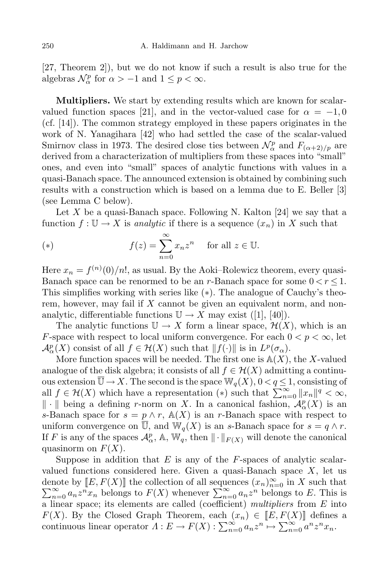[27, Theorem 2]), but we do not know if such a result is also true for the algebras  $\mathcal{N}_{\alpha}^{p}$  for  $\alpha > -1$  and  $1 \leq p < \infty$ .

**Multipliers.** We start by extending results which are known for scalarvalued function spaces [21], and in the vector-valued case for  $\alpha = -1, 0$ (cf. [14]). The common strategy employed in these papers originates in the work of N. Yanagihara [42] who had settled the case of the scalar-valued Smirnov class in 1973. The desired close ties between  $\mathcal{N}_{\alpha}^p$  and  $F_{(\alpha+2)/p}$  are derived from a characterization of multipliers from these spaces into "small" ones, and even into "small" spaces of analytic functions with values in a quasi-Banach space. The announced extension is obtained by combining such results with a construction which is based on a lemma due to E. Beller [3] (see Lemma C below).

Let *X* be a quasi-Banach space. Following N. Kalton [24] we say that a function  $f: \mathbb{U} \to X$  is *analytic* if there is a sequence  $(x_n)$  in X such that

(\*) 
$$
f(z) = \sum_{n=0}^{\infty} x_n z^n \quad \text{for all } z \in \mathbb{U}.
$$

Here  $x_n = f^{(n)}(0)/n!$ , as usual. By the Aoki–Rolewicz theorem, every quasi-Banach space can be renormed to be an *r*-Banach space for some  $0 < r < 1$ . This simplifies working with series like (*∗*). The analogue of Cauchy's theorem, however, may fail if *X* cannot be given an equivalent norm, and nonanalytic, differentiable functions  $\mathbb{U} \to X$  may exist ([1], [40]).

The analytic functions  $\mathbb{U} \to X$  form a linear space,  $\mathcal{H}(X)$ , which is an *F*-space with respect to local uniform convergence. For each  $0 < p < \infty$ , let  $\mathcal{A}_{\alpha}^{p}(X)$  consist of all  $f \in \mathcal{H}(X)$  such that  $||f(\cdot)||$  is in  $L^{p}(\sigma_{\alpha})$ .

More function spaces will be needed. The first one is  $A(X)$ , the X-valued analogue of the disk algebra; it consists of all  $f \in H(X)$  admitting a continuous extension  $\overline{\mathbb{U}} \to X$ . The second is the space  $\mathbb{W}_q(X)$ ,  $0 < q \leq 1$ , consisting of all  $f \in H(X)$  which have a representation (\*) such that  $\sum_{n=0}^{\infty} ||x_n||^q < \infty$ , *k*  $\| \cdot \|$  being a defining *r*-norm on *X*. In a canonical fashion,  $\mathcal{A}_{\alpha}^{p}(X)$  is an *s*-Banach space for  $s = p \wedge r$ ,  $\mathbb{A}(X)$  is an *r*-Banach space with respect to uniform convergence on U, and  $\mathbb{W}_q(X)$  is an *s*-Banach space for  $s = q \wedge r$ . If *F* is any of the spaces  $\mathcal{A}_{\alpha}^p$ , A, W<sub>q</sub>, then  $\|\cdot\|_{F(X)}$  will denote the canonical quasinorm on  $F(X)$ .

Suppose in addition that *E* is any of the *F*-spaces of analytic scalarvalued functions considered here. Given a quasi-Banach space *X*, let us denote by  $[[E, F(X)]]$  the collection of all sequences  $(x_n)_{n=0}^{\infty}$ <br> $\sum_{n=0}^{\infty} a_n z^n x_n$  belongs to  $F(X)$  whenever  $\sum_{n=0}^{\infty} a_n z^n$  belon in *X* such that  $\sum_{n=0}^{\infty} a_n z^n x_n$  belongs to  $F(X)$  whenever  $\sum_{n=0}^{\infty} a_n z^n$  belongs to *E*. This is a linear space; its elements are called (coefficient) *multipliers* from *E* into *F*(*X*). By the Closed Graph Theorem, each  $(x_n) \in [E, F(X)]$  defines a continuous linear operator  $\Lambda: E \to F(X): \sum_{n=0}^{\infty} a_n z^n \mapsto \sum_{n=0}^{\infty} a^n z^n x_n$ .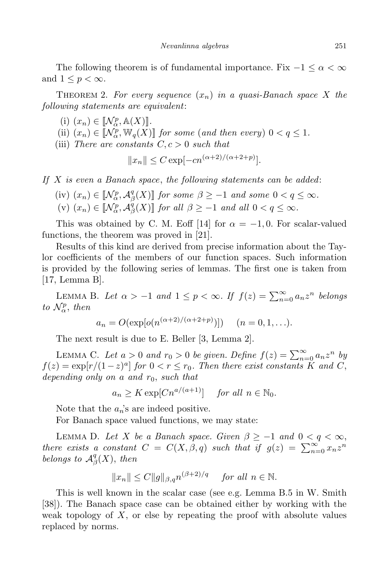The following theorem is of fundamental importance. Fix  $-1 \leq \alpha < \infty$ and  $1 \leq p < \infty$ .

THEOREM 2. For every sequence  $(x_n)$  in a quasi-Banach space X the *following statements are equivalent*:

- $(i)$   $(x_n) \in [\![\mathcal{N}_{\alpha}^p, \mathbb{A}(X)]\!]$ .
- (ii)  $(x_n) \in [\![\mathcal{N}_{\alpha}^p, \mathbb{W}_q(X)]\!]$  *for some* (*and then every*)  $0 < q \leq 1$ *.*
- (iii) *There* are *constants*  $C, c > 0$  *such that*

$$
||x_n|| \leq C \exp[-cn^{(\alpha+2)/(\alpha+2+p)}].
$$

*If X is even a Banach space*, *the following statements can be added*:

 $(iv)$   $(x_n) \in [\mathcal{N}_{\alpha}^p, \mathcal{A}_{\beta}^q]$  $\beta$ <sub>2</sub>(X)] *for some*  $\beta \ge -1$  *and some*  $0 < q \le \infty$ *.* 

(v) 
$$
(x_n) \in [\![\mathcal{N}_{\alpha}^p, \mathcal{A}_{\beta}^q(X)]\!]
$$
 for all  $\beta \ge -1$  and all  $0 < q \le \infty$ .

This was obtained by C. M. Eoff [14] for  $\alpha = -1, 0$ . For scalar-valued functions, the theorem was proved in [21].

Results of this kind are derived from precise information about the Taylor coefficients of the members of our function spaces. Such information is provided by the following series of lemmas. The first one is taken from [17, Lemma B].

LEMMA B. Let  $\alpha > -1$  and  $1 \leq p < \infty$ . If  $f(z) = \sum_{n=0}^{\infty} a_n z^n$  belongs *to*  $\mathcal{N}_{\alpha}^p$ *, then* 

$$
a_n = O(\exp[\rho(n^{(\alpha+2)/(\alpha+2+p)})])
$$
  $(n = 0, 1, ...).$ 

The next result is due to E. Beller [3, Lemma 2].

LEMMA C. Let  $a > 0$  and  $r_0 > 0$  be given. Define  $f(z) = \sum_{n=0}^{\infty} a_n z^n$  by  $f(z) = \exp[r/(1-z)^a]$  *for*  $0 < r \le r_0$ *. Then there exist constants K and C*, *depending only on a and r*0, *such that*

$$
a_n \ge K \exp[ C n^{a/(a+1)}] \quad \text{ for all } n \in \mathbb{N}_0.
$$

Note that the  $a_n$ 's are indeed positive.

For Banach space valued functions, we may state:

LEMMA D. Let *X* be a Banach space. Given  $\beta \ge -1$  and  $0 < q < \infty$ , *there exists a constant*  $C = C(X, \beta, q)$  *such that if*  $g(z) = \sum_{n=0}^{\infty} x_n z^n$ *belongs* to  $\mathcal{A}_{\beta}^q$ *β* (*X*), *then*

$$
||x_n|| \le C ||g||_{\beta,q} n^{(\beta+2)/q} \quad \text{for all } n \in \mathbb{N}.
$$

This is well known in the scalar case (see e.g. Lemma B.5 in W. Smith [38]). The Banach space case can be obtained either by working with the weak topology of *X*, or else by repeating the proof with absolute values replaced by norms.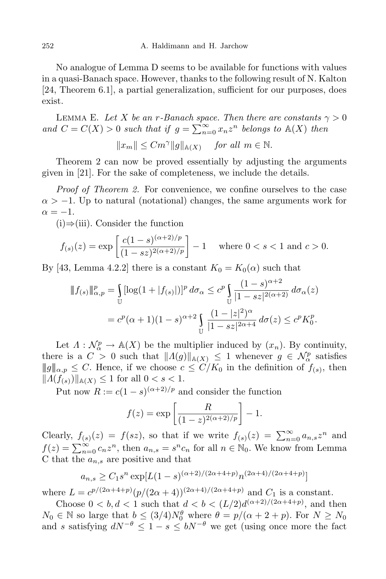No analogue of Lemma D seems to be available for functions with values in a quasi-Banach space. However, thanks to the following result of N. Kalton [24, Theorem 6.1], a partial generalization, sufficient for our purposes, does exist.

LEMMA E. Let *X* be an *r*-Banach space. Then there are constants  $\gamma > 0$ *and*  $C = C(X) > 0$  *such that if*  $g = \sum_{n=0}^{\infty} x_n z^n$  *belongs to*  $\mathbb{A}(X)$  *then* 

$$
||x_m|| \le Cm^{\gamma} ||g||_{\mathbb{A}(X)} \quad \text{ for all } m \in \mathbb{N}.
$$

Theorem 2 can now be proved essentially by adjusting the arguments given in [21]. For the sake of completeness, we include the details.

*Proof of Theorem 2.* For convenience, we confine ourselves to the case  $\alpha$  >  $-1$ . Up to natural (notational) changes, the same arguments work for  $\alpha = -1$ .

(i)*⇒*(iii). Consider the function

$$
f_{(s)}(z) = \exp\left[\frac{c(1-s)^{(\alpha+2)/p}}{(1-sz)^{2(\alpha+2)/p}}\right] - 1 \quad \text{where } 0 < s < 1 \text{ and } c > 0.
$$

By [43, Lemma 4.2.2] there is a constant  $K_0 = K_0(\alpha)$  such that

$$
\|f_{(s)}\|_{\alpha,p}^p = \int_{\mathbb{U}} [\log(1+|f_{(s)}|)]^p d\sigma_\alpha \leq c^p \int_{\mathbb{U}} \frac{(1-s)^{\alpha+2}}{|1-sz|^{2(\alpha+2)}} d\sigma_\alpha(z)
$$
  
=  $c^p(\alpha+1)(1-s)^{\alpha+2} \int_{\mathbb{U}} \frac{(1-|z|^2)^\alpha}{|1-sz|^{2\alpha+4}} d\sigma(z) \leq c^p K_0^p.$ 

Let  $\Lambda : \mathcal{N}_{\alpha}^p \to \mathbb{A}(X)$  be the multiplier induced by  $(x_n)$ . By continuity, there is a  $C > 0$  such that  $||A(g)||_{A(X)} \leq 1$  whenever  $g \in \mathcal{N}_{\alpha}^p$  satisfies  $||g||_{\alpha,p} \leq C$ . Hence, if we choose  $c \leq C/K_0$  in the definition of  $f(s)$ , then  $||A(f_{(s)})||_{\mathbb{A}(X)} \leq 1$  for all  $0 < s < 1$ .

Put now  $R := c(1 - s)^{(\alpha + 2)/p}$  and consider the function

$$
f(z) = \exp\left[\frac{R}{(1-z)^{2(\alpha+2)/p}}\right] - 1.
$$

Clearly,  $f_{(s)}(z) = f(sz)$ , so that if we write  $f_{(s)}(z) = \sum_{n=0}^{\infty} a_{n,s} z^n$  and  $f(z) = \sum_{n=0}^{\infty} c_n z^n$ , then  $a_{n,s} = s^n c_n$  for all  $n \in \mathbb{N}_0$ . We know from Lemma C that the *an,s* are positive and that

$$
a_{n,s} \ge C_1 s^n \exp[L(1-s)^{(\alpha+2)/(2\alpha+4+p)} n^{(2\alpha+4)/(2\alpha+4+p)}]
$$

where  $L = c^{p/(2\alpha+4+p)}(p/(2\alpha+4))^{(2\alpha+4)/(2\alpha+4+p)}$  and  $C_1$  is a constant.

Choose  $0 < b, d < 1$  such that  $d < b < (L/2)d^{(\alpha+2)/(2\alpha+4+p)}$ , and then  $N_0 \in \mathbb{N}$  so large that  $b \leq (3/4)N_0^{\theta}$  where  $\theta = p/(\alpha + 2 + p)$ . For  $N \geq N_0$ and *s* satisfying  $dN^{-\theta} \leq 1 - s \leq bN^{-\theta}$  we get (using once more the fact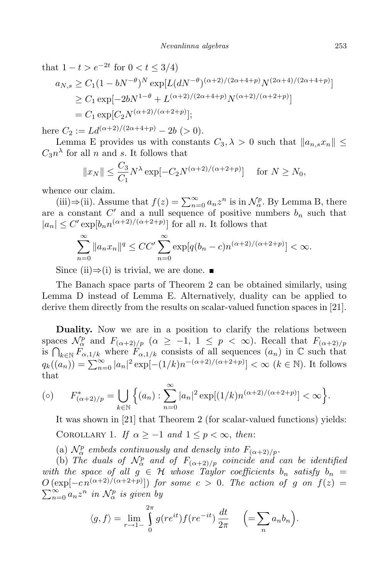that  $1 - t > e^{-2t}$  for  $0 < t \leq 3/4$ )

$$
a_{N,s} \ge C_1 (1 - bN^{-\theta})^N \exp[L(dN^{-\theta})^{(\alpha+2)/(2\alpha+4+p)} N^{(2\alpha+4)/(2\alpha+4+p)}]
$$
  
\n
$$
\ge C_1 \exp[-2bN^{1-\theta} + L^{(\alpha+2)/(2\alpha+4+p)} N^{(\alpha+2)/(\alpha+2+p)}]
$$
  
\n
$$
= C_1 \exp[C_2 N^{(\alpha+2)/(\alpha+2+p)}];
$$

here  $C_2 := L d^{(\alpha+2)/(2\alpha+4+p)} - 2b > 0$ .

Lemma E provides us with constants  $C_3, \lambda > 0$  such that  $||a_{n,s}x_n|| \leq$  $C_3 n^{\lambda}$  for all *n* and *s*. It follows that

$$
||x_N|| \le \frac{C_3}{C_1} N^{\lambda} \exp[-C_2 N^{(\alpha+2)/(\alpha+2+p)}] \quad \text{for } N \ge N_0,
$$

whence our claim.

(iii)⇒(ii). Assume that  $f(z) = \sum_{n=0}^{\infty} a_n z^n$  is in  $\mathcal{N}_{\alpha}^p$ . By Lemma B, there are a constant  $C'$  and a null sequence of positive numbers  $b_n$  such that  $|a_n| \leq C' \exp[b_n n^{(\alpha+2)/(\alpha+2+p)}]$  for all *n*. It follows that

$$
\sum_{n=0}^{\infty} \|a_n x_n\|^q \le CC' \sum_{n=0}^{\infty} \exp[q(b_n - c)n^{(\alpha+2)/(\alpha+2+p)}] < \infty.
$$

Since (ii) $\Rightarrow$ (i) is trivial, we are done. ■

The Banach space parts of Theorem 2 can be obtained similarly, using Lemma D instead of Lemma E. Alternatively, duality can be applied to derive them directly from the results on scalar-valued function spaces in [21].

**Duality.** Now we are in a position to clarify the relations between spaces  $\mathcal{N}_{\alpha}^p$  and  $F_{(\alpha+2)/p}$  ( $\alpha \geq -1, 1 \leq p < \infty$ ). Recall that  $F_{(\alpha+2)/p}$ is  $\bigcap_{k\in\mathbb{N}} F_{\alpha,1/k}$  where  $F_{\alpha,1/k}$  consists of all sequences  $(a_n)$  in  $\mathbb C$  such that  $q_k((a_n)) = \sum_{n=0}^{\infty} |a_n|^2 \exp[-(1/k)n^{-(\alpha+2)/(\alpha+2+p)}] < \infty \ (k \in \mathbb{N})$ . It follows that

$$
\text{(o)} \qquad F_{(\alpha+2)/p}^* = \bigcup_{k \in \mathbb{N}} \left\{ (a_n) : \sum_{n=0}^{\infty} |a_n|^2 \exp[(1/k)n^{(\alpha+2)/(\alpha+2+p)}] < \infty \right\}.
$$

It was shown in [21] that Theorem 2 (for scalar-valued functions) yields: COROLLARY 1. *If*  $\alpha \geq -1$  *and*  $1 \leq p < \infty$ , *then*:

(a)  $\mathcal{N}_{\alpha}^{p}$  *embeds continuously and densely into*  $F_{(\alpha+2)/p}$ .

(b) *The duals* of  $\mathcal{N}_{\alpha}^{p}$  *and* of  $F_{(\alpha+2)/p}$  *coincide and can be identified with the space of all*  $g \in H$  *whose Taylor coefficients*  $b_n$  *satisfy*  $b_n$  =  $O(\exp[-cn^{(\alpha+2)/(\alpha+2+p)}])$  *for some*  $c > 0$ *. The action of g on*  $f(z) =$  $\sum_{n=0}^{\infty} a_n z^n$  *in*  $\mathcal{N}_{\alpha}^p$  *is given by* 

$$
\langle g, f \rangle = \lim_{r \to 1-} \int_{0}^{2\pi} g(re^{it}) f(re^{-it}) \frac{dt}{2\pi} \quad \left( = \sum_{n} a_n b_n \right).
$$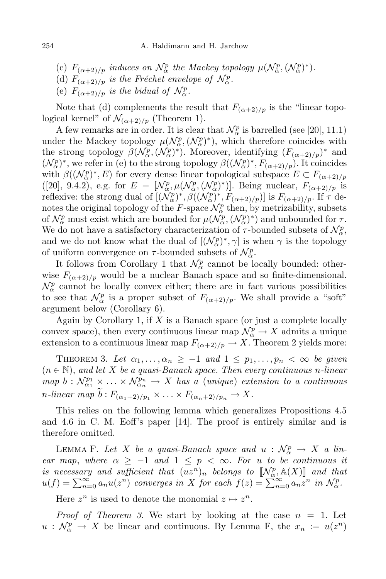- (c)  $F_{(\alpha+2)/p}$  *induces on*  $\mathcal{N}_{\alpha}^p$  *the Mackey topology*  $\mu(\mathcal{N}_{\alpha}^p, (\mathcal{N}_{\alpha}^p)^*)$ *.*
- (d)  $F_{(\alpha+2)/p}$  *is the Fréchet envelope of*  $\mathcal{N}_\alpha^p$ .
- (e)  $F_{(\alpha+2)/p}$  *is the bidual of*  $\mathcal{N}_{\alpha}^p$ .

Note that (d) complements the result that  $F_{(\alpha+2)/p}$  is the "linear topological kernel" of  $\mathcal{N}_{(\alpha+2)/p}$  (Theorem 1).

A few remarks are in order. It is clear that  $\mathcal{N}_{\alpha}^p$  is barrelled (see [20], 11.1) under the Mackey topology  $\mu(\mathcal{N}_{\alpha}^p, (\mathcal{N}_{\alpha}^p)^*)$ , which therefore coincides with the strong topology  $\beta(\mathcal{N}_{\alpha}^p, (\mathcal{N}_{\alpha}^p)^*)$ . Moreover, identifying  $(F_{(\alpha+2)/p})^*$  and  $(\mathcal{N}_{\alpha}^{p})^*$ , we refer in (e) to the strong topology  $\beta((\mathcal{N}_{\alpha}^{p})^*, F_{(\alpha+2)/p})$ . It coincides with  $\beta((\mathcal{N}_{\alpha}^p)^*, E)$  for every dense linear topological subspace  $E \subset F_{(\alpha+2)/p}$  $([20], 9.4.2), e.g. for  $E = [\mathcal{N}_{\alpha}^p, \mu(\mathcal{N}_{\alpha}^p, (\mathcal{N}_{\alpha}^p)^*)]$ . Being nuclear,  $F_{(\alpha+2)/p}$  is$ reflexive: the strong dual of  $[(\mathcal{N}_{\alpha}^p)^*, \beta((\mathcal{N}_{\alpha}^p)^*, F_{(\alpha+2)/p})]$  is  $F_{(\alpha+2)/p}$ . If  $\tau$  denotes the original topology of the *F*-space  $\mathcal{N}_{\alpha}^p$  then, by metrizability, subsets of  $\mathcal{N}_{\alpha}^{p}$  must exist which are bounded for  $\mu(\mathcal{N}_{\alpha}^{p}, (\mathcal{N}_{\alpha}^{p})^{*})$  and unbounded for  $\tau$ . We do not have a satisfactory characterization of  $\tau$ -bounded subsets of  $\mathcal{N}_{\alpha}^p$ , and we do not know what the dual of  $[(\mathcal{N}_{\alpha}^p)^*, \gamma]$  is when  $\gamma$  is the topology of uniform convergence on  $\tau$ -bounded subsets of  $\mathcal{N}_{\alpha}^p$ .

It follows from Corollary 1 that  $\mathcal{N}_{\alpha}^p$  cannot be locally bounded: otherwise  $F_{(\alpha+2)/p}$  would be a nuclear Banach space and so finite-dimensional.  $\mathcal{N}_{\alpha}^{p}$  cannot be locally convex either; there are in fact various possibilities to see that  $\mathcal{N}_{\alpha}^p$  is a proper subset of  $F_{(\alpha+2)/p}$ . We shall provide a "soft" argument below (Corollary 6).

Again by Corollary 1, if *X* is a Banach space (or just a complete locally convex space), then every continuous linear map  $\mathcal{N}_p^p \to X$  admits a unique extension to a continuous linear map  $F_{(\alpha+2)/p} \to X$ . Theorem 2 yields more:

THEOREM 3. Let  $\alpha_1, \ldots, \alpha_n \geq -1$  and  $1 \leq p_1, \ldots, p_n < \infty$  be given (*n ∈* N), *and let X be a quasi-Banach space. Then every continuous n-linear* map  $b: \mathcal{N}_{\alpha_1}^{p_1} \times \ldots \times \mathcal{N}_{\alpha_n}^{p_n} \to X$  has a (unique) extension to a continuous  $n$ *-linear*  $map \ b : F_{(\alpha_1+2)/p_1} \times \ldots \times F_{(\alpha_n+2)/p_n} \to X$ .

This relies on the following lemma which generalizes Propositions 4.5 and 4.6 in C. M. Eoff's paper [14]. The proof is entirely similar and is therefore omitted.

LEMMA F. Let *X* be a quasi-Banach space and  $u : \mathcal{N}_{\alpha}^p \to X$  a lin*ear map*, *where*  $\alpha \ge -1$  *and*  $1 \le p \le \infty$ *. For u to be continuous it is necessary and sufficient that*  $(uz^n)_n$  *belongs to*  $[\![\mathcal{N}_{\alpha}^p, \mathbb{A}(X)]\!]$  *and that*  $u(f) = \sum_{n=0}^{\infty} a_n u(z^n)$  converges in X for each  $f(z) = \sum_{n=0}^{\infty} a_n z^n$  in  $\mathcal{N}_{\alpha}^p$ .

Here  $z^n$  is used to denote the monomial  $z \mapsto z^n$ .

*Proof of Theorem* 3. We start by looking at the case  $n = 1$ . Let  $u: \mathcal{N}_{\alpha}^p \to X$  be linear and continuous. By Lemma F, the  $x_n := u(z^n)$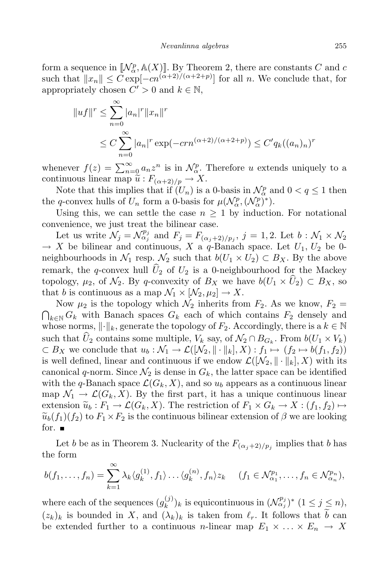form a sequence in  $[\![\mathcal{N}_{\alpha}^p, \mathbb{A}(X)]\!]$ . By Theorem 2, there are constants *C* and *c* such that  $||x_n|| \leq C \exp[-cn^{(\alpha+2)/(\alpha+2+p)}]$  for all *n*. We conclude that, for appropriately chosen  $C' > 0$  and  $k \in \mathbb{N}$ ,

$$
||uf||r \le \sum_{n=0}^{\infty} |a_n|^r ||x_n||^r
$$
  
 
$$
\le C \sum_{n=0}^{\infty} |a_n|^r \exp(-cn^{(\alpha+2)/(\alpha+2+p)}) \le C' q_k((a_n)_n)^r
$$

whenever  $f(z) = \sum_{n=0}^{\infty} a_n z^n$  is in  $\mathcal{N}_{\alpha}^p$ . Therefore *u* extends uniquely to a continuous linear map  $\tilde{u}: F_{(\alpha+2)/p} \to X$ .

Note that this implies that if  $(U_n)$  is a 0-basis in  $\mathcal{N}_\alpha^p$  and  $0 < q \leq 1$  then the *q*-convex hulls of  $U_n$  form a 0-basis for  $\mu(\mathcal{N}_{\alpha}^p, (\mathcal{N}_{\alpha}^p)^*)$ .

Using this, we can settle the case  $n \geq 1$  by induction. For notational convenience, we just treat the bilinear case.

Let us write  $\mathcal{N}_j = \mathcal{N}_{\alpha_j}^{p_j}$  and  $F_j = F_{(\alpha_j+2)/p_j}$ ,  $j = 1, 2$ . Let  $b : \mathcal{N}_1 \times \mathcal{N}_2$  $\rightarrow$  *X* be bilinear and continuous, *X* a *q*-Banach space. Let  $U_1, U_2$  be 0neighbourhoods in  $\mathcal{N}_1$  resp.  $\mathcal{N}_2$  such that  $b(U_1 \times U_2) \subset B_X$ . By the above remark, the *q*-convex hull  $\hat{U}_2$  of  $U_2$  is a 0-neighbourhood for the Mackey topology,  $\mu_2$ , of  $\mathcal{N}_2$ . By *q*-convexity of  $B_X$  we have  $b(U_1 \times \widehat{U}_2) \subset B_X$ , so that *b* is continuous as a map  $\mathcal{N}_1 \times [\mathcal{N}_2, \mu_2] \to X$ .

Now  $\mu_2$  is the topology which  $\mathcal{N}_2$  inherits from  $F_2$ . As we know,  $F_2$  =  $\bigcap_{k \in \mathbb{N}} G_k$  with Banach spaces  $G_k$  each of which contains  $F_2$  densely and whose norms,  $\lVert \cdot \rVert_k$ , generate the topology of  $F_2$ . Accordingly, there is a  $k \in \mathbb{N}$ such that  $U_2$  contains some multiple,  $V_k$  say, of  $\mathcal{N}_2 \cap B_{G_k}$ . From  $b(U_1 \times V_k)$  $\subset B_X$  we conclude that  $u_b: \mathcal{N}_1 \to \mathcal{L}([\mathcal{N}_2, \|\cdot\|_k], X): f_1 \mapsto (f_2 \mapsto b(f_1, f_2))$ is well defined, linear and continuous if we endow  $\mathcal{L}([\mathcal{N}_2, \|\cdot\|_k], X)$  with its canonical *q*-norm. Since  $\mathcal{N}_2$  is dense in  $G_k$ , the latter space can be identified with the *q*-Banach space  $\mathcal{L}(G_k, X)$ , and so  $u_b$  appears as a continuous linear map  $\mathcal{N}_1 \to \mathcal{L}(G_k, X)$ . By the first part, it has a unique continuous linear extension  $\widetilde{u}_b : F_1 \to \mathcal{L}(G_k, X)$ . The restriction of  $F_1 \times G_k \to X : (f_1, f_2) \mapsto$  $\widetilde{u}_b(f_1)(f_2)$  to  $F_1 \times F_2$  is the continuous bilinear extension of  $\beta$  we are looking for.  $\blacksquare$ 

Let *b* be as in Theorem 3. Nuclearity of the  $F_{(\alpha_j+2)/p_j}$  implies that *b* has the form

$$
b(f_1,\ldots,f_n)=\sum_{k=1}^{\infty}\lambda_k\langle g_k^{(1)},f_1\rangle\ldots\langle g_k^{(n)},f_n\rangle z_k \quad (f_1\in\mathcal{N}_{\alpha_1}^{p_1},\ldots,f_n\in\mathcal{N}_{\alpha_n}^{p_n}),
$$

where each of the sequences  $(g_k^{(j)})$  $(k^{(j)})_k$  is equicontinuous in  $(\mathcal{N}^{p_j}_{\alpha_j})^*$   $(1 \leq j \leq n)$ ,  $(z_k)_k$  is bounded in X, and  $(\lambda_k)_k$  is taken from  $\ell_r$ . It follows that  $\tilde{b}$  can be extended further to a continuous *n*-linear map  $E_1 \times \ldots \times E_n \to X$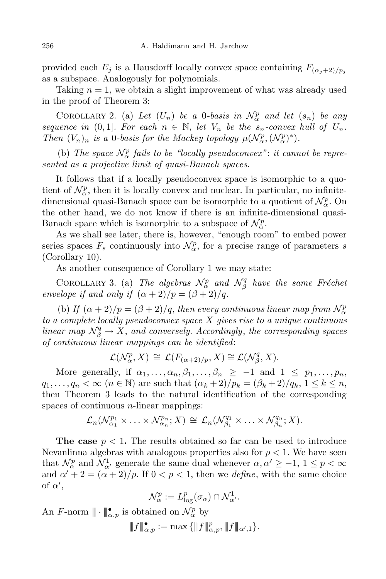provided each  $E_j$  is a Hausdorff locally convex space containing  $F_{(\alpha_j+2)/p_j}$ as a subspace. Analogously for polynomials.

Taking  $n = 1$ , we obtain a slight improvement of what was already used in the proof of Theorem 3:

COROLLARY 2. (a) Let  $(U_n)$  be a 0*-basis* in  $\mathcal{N}_{\alpha}^p$  and let  $(s_n)$  be any *sequence in* (0,1]*. For each*  $n \in \mathbb{N}$ , *let*  $V_n$  *be the*  $s_n$ *-convex hull* of  $U_n$ *. Then*  $(V_n)_n$  *is a* 0*-basis for the Mackey topology*  $\mu(\mathcal{N}_{\alpha}^p, (\mathcal{N}_{\alpha}^p)^*)$ .

(b) *The space*  $\mathcal{N}_{\alpha}^{p}$  *fails to be "locally pseudoconvex"*: *it cannot be represented as a projective limit of quasi-Banach spaces.*

It follows that if a locally pseudoconvex space is isomorphic to a quotient of  $\mathcal{N}_{\alpha}^p$ , then it is locally convex and nuclear. In particular, no infinitedimensional quasi-Banach space can be isomorphic to a quotient of  $\mathcal{N}_{\alpha}^p$ . On the other hand, we do not know if there is an infinite-dimensional quasi-Banach space which is isomorphic to a subspace of  $\mathcal{N}_{\alpha}^p$ .

As we shall see later, there is, however, "enough room" to embed power series spaces  $F_s$  continuously into  $\mathcal{N}_{\alpha}^p$ , for a precise range of parameters *s* (Corollary 10).

As another consequence of Corollary 1 we may state:

COROLLARY 3. (a) *The algebras*  $\mathcal{N}_{\alpha}^p$  and  $\mathcal{N}_{\beta}^q$ *β have the same Fr´echet envelope if* and *only if*  $(\alpha + 2)/p = (\beta + 2)/q$ .

(b) *If*  $(\alpha + 2)/p = (\beta + 2)/q$ , *then every continuous linear map from*  $\mathcal{N}_{\alpha}^p$ *to a complete locally pseudoconvex space X gives rise to a unique continuous linear*  $map \mathcal{N}_{\beta}^q \rightarrow X$ , and *conversely. Accordingly*, *the corresponding spaces of continuous linear mappings can be identified*:

$$
\mathcal{L}(\mathcal{N}_{\alpha}^p, X) \cong \mathcal{L}(F_{(\alpha+2)/p}, X) \cong \mathcal{L}(\mathcal{N}_{\beta}^q, X).
$$

More generally, if  $\alpha_1, \ldots, \alpha_n, \beta_1, \ldots, \beta_n \geq -1$  and  $1 \leq p_1, \ldots, p_n$  $q_1,\ldots,q_n<\infty$   $(n\in\mathbb{N})$  are such that  $(\alpha_k+2)/p_k=(\beta_k+2)/q_k, 1\leq k\leq n$ , then Theorem 3 leads to the natural identification of the corresponding spaces of continuous *n*-linear mappings:

$$
\mathcal{L}_n(\mathcal{N}_{\alpha_1}^{p_1}\times\ldots\times\mathcal{N}_{\alpha_n}^{p_n};X)\,\cong\,\mathcal{L}_n(\mathcal{N}_{\beta_1}^{q_1}\times\ldots\times\mathcal{N}_{\beta_n}^{q_n};X).
$$

**The case**  $p < 1$ . The results obtained so far can be used to introduce Nevanlinna algebras with analogous properties also for *p <* 1. We have seen that  $\mathcal{N}_{\alpha}^p$  and  $\mathcal{N}_{\alpha'}^1$  generate the same dual whenever  $\alpha, \alpha' \geq -1, 1 \leq p < \infty$ and  $\alpha' + 2 = (\alpha + 2)/p$ . If  $0 < p < 1$ , then we *define*, with the same choice of  $\alpha'$ ,

$$
\mathcal{N}_{\alpha}^p := L_{\log}^p(\sigma_{\alpha}) \cap \mathcal{N}_{\alpha'}^1.
$$

An *F*-norm  $\|\cdot\|_{\alpha,p}$  is obtained on  $\mathcal{N}_{\alpha}^p$  by

 $|||f||_{\alpha,p}^{\bullet} := \max\{\|f\|_{\alpha,p}^p, \|f\|_{\alpha',1}\}.$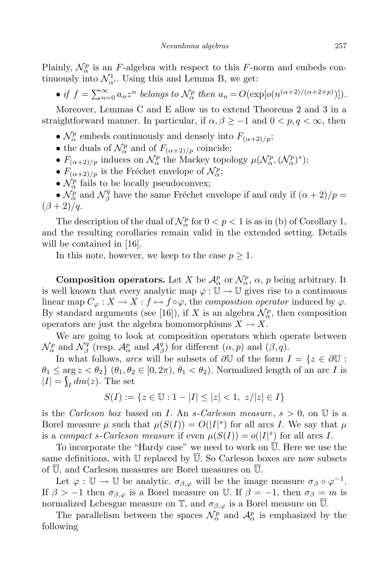Plainly,  $\mathcal{N}_{\alpha}^{p}$  is an *F*-algebra with respect to this *F*-norm and embeds continuously into  $\mathcal{N}_{\alpha'}^1$ . Using this and Lemma B, we get:

• if  $f = \sum_{n=0}^{\infty} a_n z^n$  belongs to  $\mathcal{N}_{\alpha}^p$  then  $a_n = O(\exp[\rho(n^{(\alpha+2)/(\alpha+2+p)})]).$ 

Moreover, Lemmas C and E allow us to extend Theorems 2 and 3 in a straightforward manner. In particular, if  $\alpha, \beta \geq -1$  and  $0 < p, q < \infty$ , then

- $\mathcal{N}_{\alpha}^{p}$  embeds continuously and densely into  $F_{(\alpha+2)/p}$ ;
- the duals of  $\mathcal{N}_{\alpha}^p$  and of  $F_{(\alpha+2)/p}$  coincide;
- $F_{(\alpha+2)/p}$  induces on  $\mathcal{N}_{\alpha}^p$  the Mackey topology  $\mu(\mathcal{N}_{\alpha}^p, (\mathcal{N}_{\alpha}^p)^*)$ ;
- $F_{(\alpha+2)/p}$  is the Fréchet envelope of  $\mathcal{N}_{\alpha}^p$ ;
- $\mathcal{N}_{\alpha}^{p}$  fails to be locally pseudoconvex;

•  $\mathcal{N}_{\alpha}^{p}$  and  $\mathcal{N}_{\beta}^{q}$ <sup>*q*</sup> have the same Fréchet envelope if and only if  $(\alpha + 2)/p =$  $(\beta + 2)/q$ .

The description of the dual of  $\mathcal{N}_{\alpha}^p$  for  $0 < p < 1$  is as in (b) of Corollary 1, and the resulting corollaries remain valid in the extended setting. Details will be contained in [16].

In this note, however, we keep to the case  $p \geq 1$ .

**Composition operators.** Let *X* be  $\mathcal{A}_{\alpha}^{p}$  or  $\mathcal{N}_{\alpha}^{p}$ ,  $\alpha$ , *p* being arbitrary. It is well known that every analytic map  $\varphi : \mathbb{U} \to \mathbb{U}$  gives rise to a continuous linear map  $C_{\varphi}: X \to X : f \mapsto f \circ \varphi$ , the *composition operator* induced by  $\varphi$ . By standard arguments (see [16]), if *X* is an algebra  $\mathcal{N}_{\alpha}^p$ , then composition operators are just the algebra homomorphisms  $X \to X$ .

We are going to look at composition operators which operate between  $\mathcal{N}_{\alpha}^p$  and  $\mathcal{N}_{\beta}^q$ <sup>*q*</sup> (resp.  $\mathcal{A}_{\alpha}^p$  and  $\mathcal{A}_{\beta}^q$ *β* ) for different (*α, p*) and (*β, q*).

In what follows, *arcs* will be subsets of  $\partial \mathbb{U}$  of the form  $I = \{z \in \partial \mathbb{U} :$  $\theta_1 \leq \arg z < \theta_2$  { $\theta_1, \theta_2 \in [0, 2\pi), \theta_1 < \theta_2$ ). Normalized length of an arc *I* is  $|I| = \int_I dm(z)$ . The set

$$
S(I) := \{ z \in \mathbb{U} : 1 - |I| \le |z| < 1, \ z/|z| \in I \}
$$

is the *Carleson box* based on *I*. An *s-Carleson measure*, *s >* 0, on U is a Borel measure  $\mu$  such that  $\mu(S(I)) = O(|I|^s)$  for all arcs *I*. We say that  $\mu$ is a *compact s-Carleson measure* if even  $\mu(S(I)) = o(|I|^s)$  for all arcs *I*.

To incorporate the "Hardy case" we need to work on  $\overline{U}$ . Here we use the same definitions, with U replaced by U. So Carleson boxes are now subsets of  $\overline{\mathbb{U}}$ , and Carleson measures are Borel measures on  $\overline{\mathbb{U}}$ .

Let  $\varphi : \mathbb{U} \to \mathbb{U}$  be analytic.  $\sigma_{\beta,\varphi}$  will be the image measure  $\sigma_{\beta} \circ \varphi^{-1}$ . If  $\beta > -1$  then  $\sigma_{\beta,\varphi}$  is a Borel measure on U. If  $\beta = -1$ , then  $\sigma_{\beta} = m$  is normalized Lebesgue measure on  $\mathbb{T}$ , and  $\sigma_{\beta,\varphi}$  is a Borel measure on  $\mathbb{U}$ .

The parallelism between the spaces  $\mathcal{N}_{\alpha}^p$  and  $\mathcal{A}_{\alpha}^p$  is emphasized by the following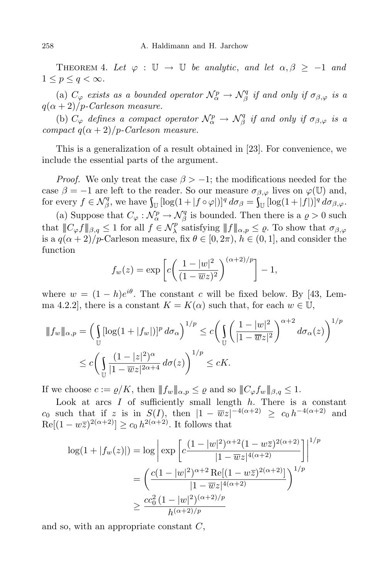THEOREM 4. Let  $\varphi : \mathbb{U} \to \mathbb{U}$  be analytic, and let  $\alpha, \beta \geq -1$  and  $1 \leq p \leq q < \infty$ .

(a)  $C_{\varphi}$  *exists as a bounded operator*  $\mathcal{N}_{\alpha}^{p} \to \mathcal{N}_{\beta}^{q}$  $\int_\beta^q$  *if* and only *if*  $\sigma_{\beta,\varphi}$  *is* a  $q(\alpha+2)/p$ *-Carleson measure.* 

(b)  $C_{\varphi}$  *defines a compact operator*  $\mathcal{N}_{\alpha}^p \rightarrow \mathcal{N}_{\beta}^q$  $\int_{\beta}^{q}$  *if* and only *if*  $\sigma_{\beta,\varphi}$  *is a compact*  $q(\alpha + 2)/p$ *-Carleson measure.* 

This is a generalization of a result obtained in [23]. For convenience, we include the essential parts of the argument.

*Proof.* We only treat the case  $\beta$  >  $-1$ ; the modifications needed for the case  $\beta = -1$  are left to the reader. So our measure  $\sigma_{\beta,\varphi}$  lives on  $\varphi(\mathbb{U})$  and, for every  $f \in \mathcal{N}_{\beta}^q$  $\int_{\mathbb{D}}^{q}$ , we have  $\int_{\mathbb{U}} \left[ \log(1 + |f \circ \varphi|) \right]^{q} d\sigma_{\beta} = \int_{\mathbb{U}} \left[ \log(1 + |f|) \right]^{q} d\sigma_{\beta, \varphi}$ .

(a) Suppose that  $C_{\varphi}: \mathcal{N}_{\alpha}^p \to \mathcal{N}_{\beta}^q$  $\beta^q$  is bounded. Then there is a  $\rho > 0$  such that  $||C_{\varphi} f||_{\beta,q} \leq 1$  for all  $f \in \mathcal{N}_{\lambda}^p$  $\int_{\lambda}^{p}$  satisfying  $||f||_{\alpha,p} \leq \varrho$ . To show that  $\sigma_{\beta,\varphi}$ is a  $q(\alpha+2)/p$ -Carleson measure, fix  $\theta \in [0, 2\pi)$ ,  $h \in (0, 1]$ , and consider the function

$$
f_w(z) = \exp\left[c\left(\frac{1-|w|^2}{(1-\overline{w}z)^2}\right)^{(\alpha+2)/p}\right] - 1,
$$

where  $w = (1 - h)e^{i\theta}$ . The constant *c* will be fixed below. By [43, Lemma 4.2.2], there is a constant  $K = K(\alpha)$  such that, for each  $w \in U$ ,

$$
\|f_w\|_{\alpha,p} = \left(\int_{\mathbb{U}} [\log(1+|f_w|)]^p d\sigma_\alpha\right)^{1/p} \le c \left(\int_{\mathbb{U}} \left(\frac{1-|w|^2}{|1-\overline{w}z|^2}\right)^{\alpha+2} d\sigma_\alpha(z)\right)^{1/p}
$$
  

$$
\le c \left(\int_{\mathbb{U}} \frac{(1-|z|^2)^\alpha}{|1-\overline{w}z|^{2\alpha+4}} d\sigma(z)\right)^{1/p} \le cK.
$$

If we choose  $c := \varrho/K$ , then  $||f_w||_{\alpha,p} \leq \varrho$  and so  $||C_{\varphi}f_w||_{\beta,q} \leq 1$ .

Look at arcs  $I$  of sufficiently small length  $h$ . There is a constant *c*<sub>0</sub> such that if *z* is in  $S(I)$ , then  $|1 - \overline{w}z|^{-4(\alpha+2)} \ge c_0 h^{-4(\alpha+2)}$  and  $\text{Re}[(1 - w\overline{z})^{2(\alpha+2)}] \ge c_0 h^{2(\alpha+2)}$ . It follows that

$$
\log(1+|f_w(z)|) = \log \left| \exp \left[ c \frac{(1-|w|^2)^{\alpha+2} (1-w\overline{z})^{2(\alpha+2)}}{|1-\overline{w}z|^{4(\alpha+2)}} \right] \right|^{1/p}
$$

$$
= \left( \frac{c(1-|w|^2)^{\alpha+2} \operatorname{Re}[(1-w\overline{z})^{2(\alpha+2)}]}{|1-\overline{w}z|^{4(\alpha+2)}} \right)^{1/p}
$$

$$
\geq \frac{cc_0^2 (1-|w|^2)^{(\alpha+2)/p}}{h^{(\alpha+2)/p}}
$$

and so, with an appropriate constant *C*,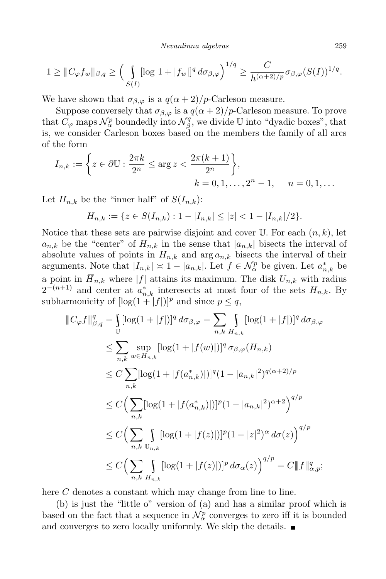*Nevanlinna algebras* 259

$$
1 \geq \|C_{\varphi} f_w\|_{\beta,q} \geq \Big(\int\limits_{S(I)} [\log 1 + |f_w|]^q d\sigma_{\beta,\varphi}\Big)^{1/q} \geq \frac{C}{h^{(\alpha+2)/p}} \sigma_{\beta,\varphi}(S(I))^{1/q}.
$$

We have shown that  $\sigma_{\beta,\varphi}$  is a  $q(\alpha+2)/p$ -Carleson measure.

Suppose conversely that  $\sigma_{\beta,\varphi}$  is a  $q(\alpha+2)/p$ -Carleson measure. To prove that  $C_{\varphi}$  maps  $\mathcal{N}_{\alpha}^{p}$  boundedly into  $\mathcal{N}_{\beta}^{q}$  $\beta^q$ , we divide U into "dyadic boxes", that is, we consider Carleson boxes based on the members the family of all arcs of the form

$$
I_{n,k} := \left\{ z \in \partial \mathbb{U} : \frac{2\pi k}{2^n} \le \arg z < \frac{2\pi (k+1)}{2^n} \right\},
$$
\n
$$
k = 0, 1, \dots, 2^n - 1, \quad n = 0, 1, \dots
$$

Let  $H_{n,k}$  be the "inner half" of  $S(I_{n,k})$ :

$$
H_{n,k} := \{ z \in S(I_{n,k}) : 1 - |I_{n,k}| \le |z| < 1 - |I_{n,k}|/2 \}.
$$

Notice that these sets are pairwise disjoint and cover  $\mathbb{U}$ . For each  $(n, k)$ , let  $a_{n,k}$  be the "center" of  $H_{n,k}$  in the sense that  $|a_{n,k}|$  bisects the interval of absolute values of points in  $H_{n,k}$  and  $\arg a_{n,k}$  bisects the interval of their arguments. Note that  $|I_{n,k}| \approx 1 - |a_{n,k}|$ . Let  $f \in \mathcal{N}_{\alpha}^p$  be given. Let  $a_{n,k}^*$  be a point in  $\overline{H}_{n,k}$  where  $|f|$  attains its maximum. The disk  $U_{n,k}$  with radius  $2^{-(n+1)}$  and center at  $a_{n,k}^*$  interesects at most four of the sets  $H_{n,k}$ . By subharmonicity of  $[\log(1+|f|)]^p$  and since  $p \leq q$ ,

$$
\|C_{\varphi}f\|_{\beta,q}^{q} = \int_{\mathbb{U}} [\log(1+|f|)]^{q} d\sigma_{\beta,\varphi} = \sum_{n,k} \int_{H_{n,k}} [\log(1+|f|)]^{q} d\sigma_{\beta,\varphi}
$$
  
\n
$$
\leq \sum_{n,k} \sup_{w \in H_{n,k}} [\log(1+|f(w)|)]^{q} \sigma_{\beta,\varphi}(H_{n,k})
$$
  
\n
$$
\leq C \sum_{n,k} [\log(1+|f(a_{n,k}^{*})|)]^{q} (1-|a_{n,k}|^{2})^{q(\alpha+2)/p}
$$
  
\n
$$
\leq C \Big( \sum_{n,k} [\log(1+|f(a_{n,k}^{*})|)]^{p} (1-|a_{n,k}|^{2})^{\alpha+2} \Big)^{q/p}
$$
  
\n
$$
\leq C \Big( \sum_{n,k} \int_{H_{n,k}} [\log(1+|f(z)|)]^{p} (1-|z|^{2})^{\alpha} d\sigma(z) \Big)^{q/p}
$$
  
\n
$$
\leq C \Big( \sum_{n,k} \int_{H_{n,k}} [\log(1+|f(z)|)]^{p} d\sigma_{\alpha}(z) \Big)^{q/p} = C \|f\|_{\alpha,p}^{q};
$$

here *C* denotes a constant which may change from line to line.

(b) is just the "little o" version of (a) and has a similar proof which is based on the fact that a sequence in  $\mathcal{N}_{\alpha}^p$  converges to zero iff it is bounded and converges to zero locally uniformly. We skip the details.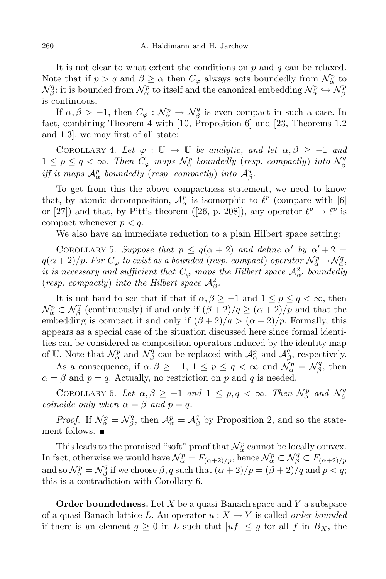It is not clear to what extent the conditions on *p* and *q* can be relaxed. Note that if  $p > q$  and  $\beta \geq \alpha$  then  $C_{\varphi}$  always acts boundedly from  $\mathcal{N}_{\alpha}^p$  to  $\mathcal{N}_{\beta}^q$ *β*: it is bounded from  $\mathcal{N}_{\alpha}^p$  to itself and the canonical embedding  $\mathcal{N}_{\alpha}^p \hookrightarrow \mathcal{N}_{\beta}^p$ *β* is continuous.

If  $\alpha, \beta > -1$ , then  $C_{\varphi}: \mathcal{N}_{\alpha}^p \to \mathcal{N}_{\beta}^q$  $\beta$ <sup>q</sup> is even compact in such a case. In fact, combining Theorem 4 with [10, Proposition 6] and [23, Theorems 1.2 and 1.3], we may first of all state:

COROLLARY 4. Let  $\varphi : \mathbb{U} \to \mathbb{U}$  be analytic, and let  $\alpha, \beta \geq -1$  and  $1 \leq p \leq q < \infty$ . Then  $C_{\varphi}$  maps  $\mathcal{N}_{\alpha}^{p}$  boundedly (resp. compactly) into  $\mathcal{N}_{\beta}^{q}$ *β iff it maps*  $\mathcal{A}_{\alpha}^{p}$  *boundedly* (*resp. compactly*) *into*  $\mathcal{A}_{\beta}^{q}$ *β .*

To get from this the above compactness statement, we need to know that, by atomic decomposition,  $\mathcal{A}_{\alpha}^r$  is isomorphic to  $\ell^r$  (compare with [6] or [27]) and that, by Pitt's theorem ([26, p. 208]), any operator  $\ell^q \to \ell^p$  is compact whenever  $p < q$ .

We also have an immediate reduction to a plain Hilbert space setting:

COROLLARY 5. Suppose that  $p \leq q(\alpha + 2)$  and define  $\alpha'$  by  $\alpha' + 2 =$  $q(\alpha+2)/p$ . For  $C_{\varphi}$  to exist as a bounded (resp. compact) operator  $\mathcal{N}_{\alpha}^p \rightarrow \mathcal{N}_{\alpha}^q$ , *it is* necessary and sufficient that  $C_\varphi$  maps the Hilbert space  $\mathcal{A}^2_\alpha$ , boundedly (*resp. compactly*) *into the Hilbert space*  $A^2_\beta$ *.* 

It is not hard to see that if that if  $\alpha, \beta \ge -1$  and  $1 \le p \le q < \infty$ , then  $\mathcal{N}_{\alpha}^p \subset \mathcal{N}_{\beta}^q$ *β* (continuously) if and only if  $(\beta + 2)/q \geq (\alpha + 2)/p$  and that the embedding is compact if and only if  $(\beta + 2)/q > (\alpha + 2)/p$ . Formally, this appears as a special case of the situation discussed here since formal identities can be considered as composition operators induced by the identity map of U. Note that  $\mathcal{N}_{\alpha}^p$  and  $\mathcal{N}_{\beta}^q$  $\mathcal{A}_{\beta}^{q}$  can be replaced with  $\mathcal{A}_{\alpha}^{p}$  and  $\mathcal{A}_{\beta}^{q}$  $\beta$ <sup>*q*</sup>, respectively.

As a consequence, if  $\alpha, \beta \ge -1$ ,  $1 \le p \le q < \infty$  and  $\mathcal{N}_{\alpha}^p = \mathcal{N}_{\beta}^q$  $\int_{\beta}^q$ , then  $\alpha = \beta$  and  $p = q$ . Actually, no restriction on *p* and *q* is needed.

COROLLARY 6. Let  $\alpha, \beta \ge -1$  and  $1 \le p, q < \infty$ . Then  $\mathcal{N}_{\alpha}^p$  and  $\mathcal{N}_{\beta}^q$ *β coincide only when*  $\alpha = \beta$  *and*  $p = q$ *.* 

*Proof.* If  $\mathcal{N}_{\alpha}^p = \mathcal{N}_{\beta}^q$ *<sup>q</sup>*, then  $\mathcal{A}_{\alpha}^p = \mathcal{A}_{\beta}^q$ *β* by Proposition 2, and so the statement follows. ■

This leads to the promised "soft" proof that  $\mathcal{N}_{\alpha}^p$  cannot be locally convex. In fact, otherwise we would have  $\mathcal{N}_{\alpha}^p = F_{(\alpha+2)/p}$ , hence  $\mathcal{N}_{\alpha}^p \subset \mathcal{N}_{\beta}^q \subset F_{(\alpha+2)/p}$ and so  $\mathcal{N}_{\alpha}^p = \mathcal{N}_{\beta}^q$ *β* if we choose  $\beta$ , *q* such that  $(\alpha + 2)/p = (\beta + 2)/q$  and  $p < q$ ; this is a contradiction with Corollary 6.

**Order boundedness.** Let *X* be a quasi-Banach space and *Y* a subspace of a quasi-Banach lattice L. An operator  $u: X \to Y$  is called *order bounded* if there is an element  $g \geq 0$  in *L* such that  $|uf| \leq g$  for all *f* in  $B_X$ , the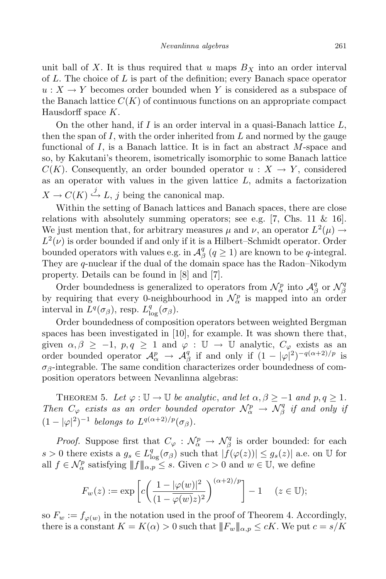unit ball of X. It is thus required that  $u$  maps  $B<sub>X</sub>$  into an order interval of *L*. The choice of *L* is part of the definition; every Banach space operator  $u: X \to Y$  becomes order bounded when Y is considered as a subspace of the Banach lattice  $C(K)$  of continuous functions on an appropriate compact Hausdorff space *K*.

On the other hand, if *I* is an order interval in a quasi-Banach lattice *L*, then the span of *I*, with the order inherited from *L* and normed by the gauge functional of *I*, is a Banach lattice. It is in fact an abstract *M*-space and so, by Kakutani's theorem, isometrically isomorphic to some Banach lattice *C*(*K*). Consequently, an order bounded operator  $u : X \rightarrow Y$ , considered as an operator with values in the given lattice *L*, admits a factorization  $X \to C(K) \stackrel{j}{\hookrightarrow} L$ , *j* being the canonical map.

Within the setting of Banach lattices and Banach spaces, there are close relations with absolutely summing operators; see e.g. [7, Chs. 11  $\&$  16]. We just mention that, for arbitrary measures  $\mu$  and  $\nu$ , an operator  $L^2(\mu) \rightarrow$  $L^2(\nu)$  is order bounded if and only if it is a Hilbert–Schmidt operator. Order bounded operators with values e.g. in  $\mathcal{A}_{\beta}^q$  $\beta$  ( $q \ge 1$ ) are known to be *q*-integral. They are *q*-nuclear if the dual of the domain space has the Radon–Nikodym property. Details can be found in [8] and [7].

Order boundedness is generalized to operators from  $\mathcal{N}_{\alpha}^p$  into  $\mathcal{A}_{\beta}^q$  $\frac{q}{\beta}$  or  $\mathcal{N}_{\beta}^q$ *β* by requiring that every 0-neighbourhood in  $\mathcal{N}_{\alpha}^p$  is mapped into an order interval in  $L^q(\sigma_\beta)$ , resp.  $L^q_{\log}(\sigma_\beta)$ .

Order boundedness of composition operators between weighted Bergman spaces has been investigated in [10], for example. It was shown there that, given  $\alpha, \beta \geq -1$ ,  $p, q \geq 1$  and  $\varphi : \mathbb{U} \to \mathbb{U}$  analytic,  $C_{\varphi}$  exists as an order bounded operator  $\mathcal{A}_{\alpha}^{p} \rightarrow \mathcal{A}_{\beta}^{q}$ *g* if and only if  $(1 - |\varphi|^2)^{-q(\alpha+2)/p}$  is  $\sigma_{\beta}$ -integrable. The same condition characterizes order boundedness of composition operators between Nevanlinna algebras:

THEOREM 5. Let  $\varphi : \mathbb{U} \to \mathbb{U}$  be analytic, and let  $\alpha, \beta \geq -1$  and  $p, q \geq 1$ . *Then*  $C_{\varphi}$  *exists as an order bounded operator*  $\mathcal{N}_{\alpha}^{p} \rightarrow \mathcal{N}_{\beta}^{q}$ *β if and only if*  $(1 - |\varphi|^2)^{-1}$  *belongs to*  $L^{q(\alpha+2)/p}(\sigma_\beta)$ *.* 

*Proof.* Suppose first that  $C_{\varphi}: \mathcal{N}_{\alpha}^{p} \to \mathcal{N}_{\beta}^{q}$ *β* is order bounded: for each  $s > 0$  there exists a  $g_s \in L^q_{\text{log}}(\sigma_\beta)$  such that  $|f(\varphi(z))| \leq g_s(z)|$  a.e. on U for all  $f \in \mathcal{N}_{\alpha}^p$  satisfying  $|| f ||_{\alpha,p} \leq s$ . Given  $c > 0$  and  $w \in \mathbb{U}$ , we define

$$
F_w(z) := \exp\left[c\left(\frac{1 - |\varphi(w)|^2}{(1 - \overline{\varphi(w)}z)^2}\right)^{(\alpha+2)/p}\right] - 1 \quad (z \in \mathbb{U});
$$

so  $F_w := f_{\varphi(w)}$  in the notation used in the proof of Theorem 4. Accordingly, there is a constant  $K = K(\alpha) > 0$  such that  $||F_w||_{\alpha, p} \leq cK$ . We put  $c = s/K$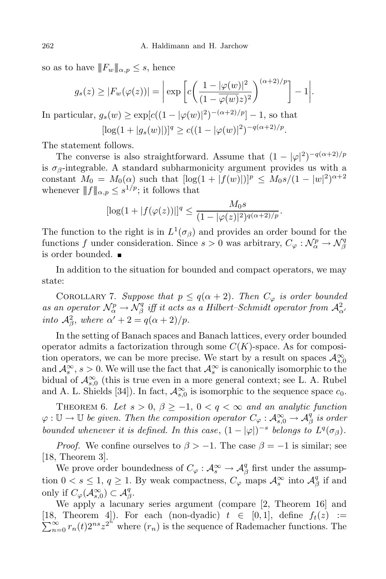so as to have  $||F_w||_{\alpha,p} \leq s$ , hence

$$
g_s(z) \ge |F_w(\varphi(z))| = \left| \exp \left[ c \left( \frac{1 - |\varphi(w)|^2}{(1 - \overline{\varphi(w)} z)^2} \right)^{(\alpha + 2)/p} \right] - 1 \right|.
$$
  
In particular,  $g_s(w) \ge \exp[c((1 - |\varphi(w)|^2)^{-(\alpha + 2)/p}] - 1$ , so that  

$$
[\log(1 + |g_s(w)|)]^q \ge c((1 - |\varphi(w)|^2)^{-q(\alpha + 2)/p}.
$$

The statement follows.

The converse is also straightforward. Assume that  $(1 - |\varphi|^2)^{-q(\alpha+2)/p}$ is  $\sigma_{\beta}$ -integrable. A standard subharmonicity argument provides us with a constant  $M_0 = M_0(\alpha)$  such that  $[\log(1 + |f(w)|)]^p \leq M_0 s/(1 - |w|^2)^{\alpha+2}$ whenever  $|| f ||_{\alpha, p} \leq s^{1/p}$ ; it follows that

$$
[\log(1+|f(\varphi(z))|]^{q} \leq \frac{M_{0}s}{(1-|\varphi(z)|^{2})^{q(\alpha+2)/p}}.
$$

The function to the right is in  $L^1(\sigma_\beta)$  and provides an order bound for the functions *f* under consideration. Since  $s > 0$  was arbitrary,  $C_{\varphi}: \mathcal{N}_{\alpha}^p \to \mathcal{N}_{\beta}^q$ *β* is order bounded.

In addition to the situation for bounded and compact operators, we may state:

COROLLARY 7. *Suppose that*  $p \leq q(\alpha + 2)$ *. Then*  $C_{\varphi}$  *is order bounded as an operator*  $\mathcal{N}_{\alpha}^{p} \rightarrow \mathcal{N}_{\beta}^{q}$  $\int_{\beta}^{q}$  *iff it acts as a Hilbert–Schmidt operator from*  $\mathcal{A}_{\alpha}^{2}$ *into*  $\mathcal{A}_{\beta}^2$ , *where*  $\alpha' + 2 = q(\alpha + 2)/p$ .

In the setting of Banach spaces and Banach lattices, every order bounded operator admits a factorization through some *C*(*K*)-space. As for composition operators, we can be more precise. We start by a result on spaces  $\mathcal{A}_{s,0}^{\infty}$ and  $\mathcal{A}_s^{\infty}$ ,  $s > 0$ . We will use the fact that  $\mathcal{A}_s^{\infty}$  is canonically isomorphic to the bidual of  $\mathcal{A}^{\infty}_{s,0}$  (this is true even in a more general context; see L. A. Rubel and A. L. Shields [34]). In fact,  $\mathcal{A}_{s,0}^{\infty}$  is isomorphic to the sequence space  $c_0$ .

THEOREM 6. Let  $s > 0$ ,  $\beta \geq -1$ ,  $0 < q < \infty$  and an analytic function  $\varphi: \mathbb{U} \to \mathbb{U}$  *be given. Then the composition operator*  $C_{\varphi}: \mathcal{A}_{s,0}^{\infty} \to \mathcal{A}_{\beta}^{q}$ *β is order* bounded whenever it is defined. In this case,  $(1 - |\varphi|)^{-s}$  belongs to  $L^{q}(\sigma_{\beta})$ .

*Proof.* We confine ourselves to  $\beta$  > −1. The case  $\beta$  = −1 is similar; see [18, Theorem 3].

We prove order boundedness of  $C_\varphi: \mathcal{A}_s^\infty \to \mathcal{A}_\beta^q$  $\frac{q}{\beta}$  first under the assumption  $0 < s \leq 1$ ,  $q \geq 1$ . By weak compactness,  $C_{\varphi}$  maps  $\mathcal{A}_{s}^{\infty}$  into  $\mathcal{A}_{\beta}^{q}$  $\frac{q}{\beta}$  if and only if  $C_{\varphi}(\mathcal{A}_{s,0}^{\infty}) \subset \mathcal{A}_{\beta}^{q}$ *β* .

We apply a lacunary series argument (compare [2, Theorem 16] and [18, [18, Theorem 4]). For each (non-dyadic)  $t \in [0,1]$ , define  $f_t(z) := \sum_{n=0}^{\infty} r_n(t) 2^{ns} z^{2^n}$  where  $(r_n)$  is the sequence of Rademacher functions. The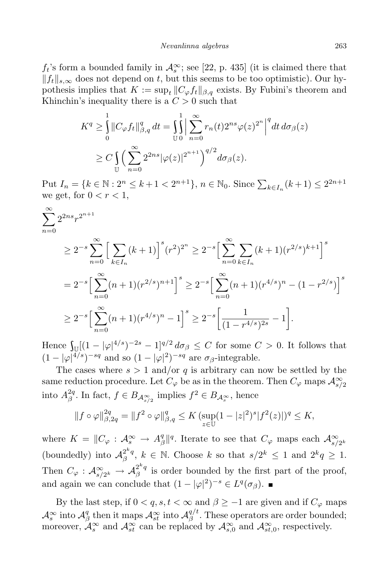$f_t$ 's form a bounded family in  $\mathcal{A}_s^{\infty}$ ; see [22, p. 435] (it is claimed there that  $||f_t||_{s,\infty}$  does not depend on *t*, but this seems to be too optimistic). Our hypothesis implies that  $K := \sup_t ||C_{\varphi} f_t||_{\beta,q}$  exists. By Fubini's theorem and Khinchin's inequality there is a  $C > 0$  such that

$$
K^{q} \geq \int_{0}^{1} \|C_{\varphi} f_t\|_{\beta,q}^{q} dt = \int_{\mathbb{U}} \int_{0}^{\infty} \sum_{n=0}^{\infty} r_n(t) 2^{ns} \varphi(z)^{2^{n}} \Big|^{q} dt d\sigma_{\beta}(z)
$$
  

$$
\geq C \int_{\mathbb{U}} \Big( \sum_{n=0}^{\infty} 2^{2ns} |\varphi(z)|^{2^{n+1}} \Big)^{q/2} d\sigma_{\beta}(z).
$$

Put  $I_n = \{k \in \mathbb{N} : 2^n \le k+1 < 2^{n+1}\}, n \in \mathbb{N}_0$ . Since  $\sum_{k \in I_n} (k+1) \le 2^{2n+1}$ we get, for  $0 < r < 1$ ,

$$
\sum_{n=0}^{\infty} 2^{2ns} r^{2^{n+1}}
$$
\n
$$
\geq 2^{-s} \sum_{n=0}^{\infty} \Big[ \sum_{k \in I_n} (k+1) \Big]^s (r^2)^{2^n} \geq 2^{-s} \Big[ \sum_{n=0}^{\infty} \sum_{k \in I_n} (k+1) (r^{2/s})^{k+1} \Big]^s
$$
\n
$$
= 2^{-s} \Big[ \sum_{n=0}^{\infty} (n+1) (r^{2/s})^{n+1} \Big]^s \geq 2^{-s} \Big[ \sum_{n=0}^{\infty} (n+1) (r^{4/s})^n - (1 - r^{2/s}) \Big]^s
$$
\n
$$
\geq 2^{-s} \Big[ \sum_{n=0}^{\infty} (n+1) (r^{4/s})^n - 1 \Big]^s \geq 2^{-s} \Big[ \frac{1}{(1 - r^{4/s})^{2s}} - 1 \Big].
$$

Hence  $\int_{\mathbb{U}} \left[ (1 - |\varphi|^{4/s})^{-2s} - 1 \right]^{q/2} d\sigma_{\beta} \leq C$  for some  $C > 0$ . It follows that  $(1 - |\varphi|^{4/s})^{-sq}$  and so  $(1 - |\varphi|^2)^{-sq}$  are  $\sigma_\beta$ -integrable.

The cases where  $s > 1$  and/or  $q$  is arbitrary can now be settled by the  $s$ ame reduction procedure. Let  $C_{\varphi}$  be as in the theorem. Then  $C_{\varphi}$  maps  $\mathcal{A}^{\infty}_{s/2}$ into  $A^{2q}_{\beta}$ <sup>2*q*</sup>. In fact, *f* ∈ *B*<sub>*A*<sup>∞</sup><sub>*s*</sub></sup>/<sub>2</sub> implies *f*<sup>2</sup> ∈ *B*<sub>*A*<sup>∞</sup><sub>*s*</sub></sub>, hence</sub>

$$
||f \circ \varphi||_{\beta,2q}^{2q} = ||f^2 \circ \varphi||_{\beta,q}^q \le K \left(\sup_{z \in \mathbb{U}} (1 - |z|^2)^s |f^2(z)|\right)^q \le K,
$$

where  $K = ||C_{\varphi} : \mathcal{A}_{s}^{\infty} \to \mathcal{A}_{\beta}^{q}$ *g*<sub>*β*</sub>||*q*. Iterate to see that  $C_\varphi$  maps each  $\mathcal{A}_{s/2^k}^{\infty}$ (boundedly) into  $\mathcal{A}_{\beta}^{2^k q}$  $e^{2^{k}q}$ ,  $k \in \mathbb{N}$ . Choose  $k$  so that  $s/2^{k} \leq 1$  and  $2^{k}q \geq 1$ . Then  $C_{\varphi}: A_{s/2^k}^{\infty} \to A_{\beta}^{2^k q}$  $\beta$ <sup> $q$ </sup> is order bounded by the first part of the proof, and again we can conclude that  $(1 - |\varphi|^2)^{-s} \in L^q(\sigma_\beta)$ .

By the last step, if  $0 < q$ ,  $s, t < \infty$  and  $\beta \geq -1$  are given and if  $C_{\varphi}$  maps  $\mathcal{A}_s^{\infty}$  into  $\mathcal{A}_\beta^q$ <sup>*g*</sup><sub>*β*</sub> then it maps  $\mathcal{A}_{st}^{\infty}$  into  $\mathcal{A}_{\beta}^{q/t}$ *β* . These operators are order bounded; moreover,  $\mathcal{A}_s^{\infty}$  and  $\mathcal{A}_{st}^{\infty}$  can be replaced by  $\mathcal{A}_{s,0}^{\infty}$  and  $\mathcal{A}_{st,0}^{\infty}$ , respectively.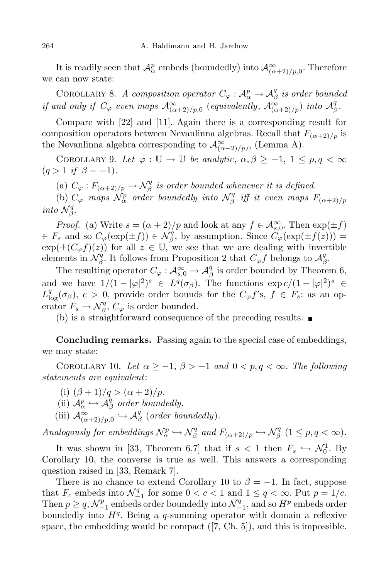It is readily seen that  $\mathcal{A}_{\alpha}^p$  embeds (boundedly) into  $\mathcal{A}_{(\alpha+2)/p,0}^{\infty}$ . Therefore we can now state:

COROLLARY 8. *A composition operator*  $C_{\varphi}: \mathcal{A}_{\alpha}^{p} \to \mathcal{A}_{\beta}^{q}$ *β is order bounded if* and only if  $C_\varphi$  even maps  $\mathcal{A}_{(\alpha+2)/p,0}^{\infty}$  (equivalently,  $\mathcal{A}_{(\alpha+2)/p}^{\infty}$ ) into  $\mathcal{A}_{\beta}^q$ *β .*

Compare with [22] and [11]. Again there is a corresponding result for composition operators between Nevanlinna algebras. Recall that  $F_{(\alpha+2)/p}$  is the Nevanlinna algebra corresponding to  $\mathcal{A}^{\infty}_{(\alpha+2)/p,0}$  (Lemma A).

COROLLARY 9. Let  $\varphi : \mathbb{U} \to \mathbb{U}$  be analytic,  $\alpha, \beta \geq -1, 1 \leq p, q < \infty$  $(q > 1 \text{ if } \beta = -1).$ 

(a)  $C_{\varphi}: F_{(\alpha+2)/p} \to \mathcal{N}_{\beta}^q$ *β is order bounded whenever it is defined.*

(b)  $C_{\varphi}$  *maps*  $\mathcal{N}_{\alpha}^{p}$  *order boundedly into*  $\mathcal{N}_{\beta}^{q}$  $\int_{\beta}^{q}$  *iff it even maps*  $F_{(\alpha+2)/p}$ *into*  $\mathcal{N}_{\beta}^q$ *β .*

*Proof.* (a) Write  $s = (\alpha + 2)/p$  and look at any  $f \in \mathcal{A}^{\infty}_{s,0}$ . Then  $\exp(\pm f)$  $\in$  *F*<sub>s</sub> and so  $C_{\varphi}(\exp(\pm f)) \in \mathcal{N}_{\beta}^q$  $\beta$ <sup>*g*</sup>, by assumption. Since  $C_{\varphi}(\exp(\pm f(z)))$  =  $\exp(\pm (C_{\varphi}f)(z))$  for all  $z \in \mathbb{U}$ , we see that we are dealing with invertible elements in  $\mathcal{N}_{\beta}^q$  $\mathcal{F}_{\beta}^{\tilde{q}}$ *. It follows from Proposition 2 that*  $C_{\varphi}f$  *belongs to*  $\mathcal{A}_{\beta}^{\tilde{q}}$ *β* .

The resulting operator  $C_{\varphi}: \mathcal{A}_{s,0}^{\infty} \to \mathcal{A}_{\beta}^{q}$  $\frac{q}{\beta}$  is order bounded by Theorem 6, and we have  $1/(1 - |\varphi|^2)^s \in L^q(\sigma_\beta)$ . The functions  $\exp c/(1 - |\varphi|^2)^s \in \mathbb{R}$  $L^q_{\log}(\sigma_{\beta})$ ,  $c > 0$ , provide order bounds for the  $C_{\varphi}f$ 's,  $f \in F_s$ : as an operator  $F_s \to \mathcal{N}_{\beta}^q$  $\mathcal{L}_{\beta}^{q}$ ,  $C_{\varphi}$  is order bounded.

(b) is a straightforward consequence of the preceding results.  $\blacksquare$ 

**Concluding remarks.** Passing again to the special case of embeddings, we may state:

COROLLARY 10. Let  $\alpha \geq -1$ ,  $\beta > -1$  and  $0 < p, q < \infty$ . The following *statements are equivalent*:

- (i)  $(\beta + 1)/q > (\alpha + 2)/p$ .
- (ii)  $\mathcal{A}_{\alpha}^{p} \hookrightarrow \mathcal{A}_{\beta}^{q}$ *β order boundedly.*
- $(\text{iii})$   $\mathcal{A}_{(\alpha+2)/p,0}^{\infty} \hookrightarrow \mathcal{A}_{\beta}^{q}$ *β* (*order boundedly*)*.*

*Analogously for embeddings*  $\mathcal{N}_{\alpha}^p \hookrightarrow \mathcal{N}_{\beta}^q$  $\int_{\beta}^{q}$  and  $F_{(\alpha+2)/p} \hookrightarrow \mathcal{N}_{\beta}^{q}$  $\frac{q}{\beta}$  (1  $\leq$  *p*, *q*  $<\infty$ ).

It was shown in [33, Theorem 6.7] that if  $s < 1$  then  $F_s \hookrightarrow \mathcal{N}_0^1$ . By Corollary 10, the converse is true as well. This answers a corresponding question raised in [33, Remark 7].

There is no chance to extend Corollary 10 to  $\beta = -1$ . In fact, suppose that  $F_c$  embeds into  $\mathcal{N}_{-1}^q$  for some  $0 < c < 1$  and  $1 \le q < \infty$ . Put  $p = 1/c$ . Then  $p \geq q$ ,  $\mathcal{N}_{-1}^p$  embeds order boundedly into  $\mathcal{N}_{-1}^q$ , and so  $H^p$  embeds order boundedly into *H<sup>q</sup>* . Being a *q*-summing operator with domain a reflexive space, the embedding would be compact ([7, Ch. 5]), and this is impossible.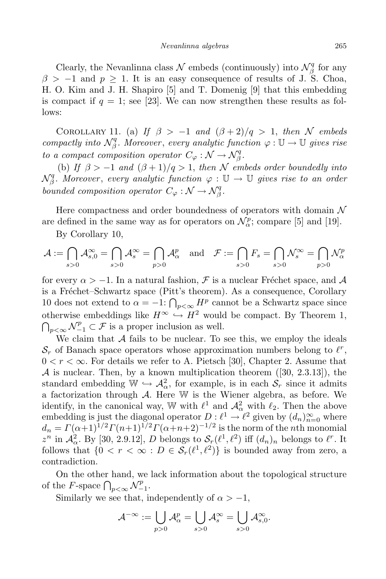Clearly, the Nevanlinna class  $\mathcal N$  embeds (continuously) into  $\mathcal N^q_{\beta}$ *β* for any  $\beta$  >  $-1$  and  $p \ge 1$ . It is an easy consequence of results of J. S. Choa, H. O. Kim and J. H. Shapiro [5] and T. Domenig [9] that this embedding is compact if  $q = 1$ ; see [23]. We can now strengthen these results as follows:

COROLLARY 11. (a) *If*  $\beta > -1$  *and*  $(\beta + 2)/q > 1$ , *then N embeds compactly into*  $\mathcal{N}_{\beta}^q$ *β . Moreover* , *every analytic function ϕ* : U *→* U *gives rise to a compact composition operator*  $C_{\varphi}: \mathcal{N} \to \mathcal{N}_{\beta}^q$ *β .*

(b) *If*  $\beta > -1$  *and*  $(\beta + 1)/q > 1$ , *then N embeds order boundedly into*  $\mathcal{N}^q_\beta$ *β . Moreover* , *every analytic function ϕ* : U *→* U *gives rise to an order bounded composition operator*  $C_{\varphi}: \mathcal{N} \to \mathcal{N}_{\beta}^q$ *β .*

Here compactness and order boundedness of operators with domain *N* are defined in the same way as for operators on  $\mathcal{N}_{\alpha}^p$ ; compare [5] and [19].

By Corollary 10,

$$
\mathcal{A}:=\bigcap_{s>0}\mathcal{A}^{\infty}_{s,0}=\bigcap_{s>0}\mathcal{A}^{\infty}_s=\bigcap_{p>0}\mathcal{A}^p_{\alpha}\quad\text{and}\quad\mathcal{F}:=\bigcap_{s>0}F_s=\bigcap_{s>0}\mathcal{N}^{\infty}_s=\bigcap_{p>0}\mathcal{N}^p_{\alpha}
$$

for every  $\alpha > -1$ . In a natural fashion, F is a nuclear Fréchet space, and A is a Fréchet–Schwartz space (Pitt's theorem). As a consequence, Corollary 10 does not extend to  $\alpha = -1$ :  $\bigcap_{p<\infty} H^p$  cannot be a Schwartz space since otherwise embeddings like  $H^{\infty} \hookrightarrow H^2$  would be compact. By Theorem 1,  $\bigcap_{p<\infty}\mathcal{N}_{-1}^p\subset\mathcal{F}$  is a proper inclusion as well.

We claim that A fails to be nuclear. To see this, we employ the ideals  $S_r$  of Banach space operators whose approximation numbers belong to  $\ell^r$ ,  $0 < r < \infty$ . For details we refer to A. Pietsch [30], Chapter 2. Assume that  $A$  is nuclear. Then, by a known multiplication theorem  $([30, 2.3.13])$ , the standard embedding  $\mathbb{W} \hookrightarrow \mathcal{A}^2_\alpha$ , for example, is in each  $\mathcal{S}_r$  since it admits a factorization through *A*. Here W is the Wiener algebra, as before. We identify, in the canonical way, W with  $\ell^1$  and  $\mathcal{A}^2_\alpha$  with  $\ell_2$ . Then the above embedding is just the diagonal operator  $D: \ell^1 \to \ell^2$  given by  $(d_n)_{n=0}^{\infty}$  where  $d_n = \Gamma(\alpha+1)^{1/2} \Gamma(n+1)^{1/2} \Gamma(\alpha+n+2)^{-1/2}$  is the norm of the *n*th monomial  $z^n$  in  $\mathcal{A}_\alpha^2$ . By [30, 2.9.12], *D* belongs to  $\mathcal{S}_r(\ell^1, \ell^2)$  iff  $(d_n)_n$  belongs to  $\ell^r$ . It follows that  $\{0 < r < \infty : D \in \mathcal{S}_r(\ell^1, \ell^2)\}$  is bounded away from zero, a contradiction.

On the other hand, we lack information about the topological structure of the *F*-space  $\bigcap_{p<\infty} \mathcal{N}_{-1}^p$ .

Similarly we see that, independently of  $\alpha > -1$ ,

$$
\mathcal{A}^{-\infty}:=\bigcup_{p>0}\mathcal{A}_{\alpha}^p=\bigcup_{s>0}\mathcal{A}_s^{\infty}=\bigcup_{s>0}\mathcal{A}_{s,0}^{\infty}.
$$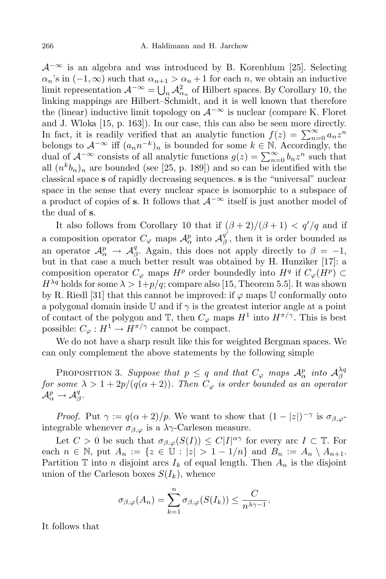*A−∞* is an algebra and was introduced by B. Korenblum [25]. Selecting  $\alpha_n$ 's in  $(-1, \infty)$  such that  $\alpha_{n+1} > \alpha_n + 1$  for each *n*, we obtain an inductive limit representation  $\mathcal{A}^{-\infty} = \bigcup_n \mathcal{A}^2_{\alpha_n}$  of Hilbert spaces. By Corollary 10, the linking mappings are Hilbert–Schmidt, and it is well known that therefore the (linear) inductive limit topology on  $\mathcal{A}^{-\infty}$  is nuclear (compare K. Floret and J. Wloka [15, p. 163]). In our case, this can also be seen more directly. In fact, it is readily verified that an analytic function  $f(z) = \sum_{n=0}^{\infty} a_n z^n$ belongs to  $\mathcal{A}^{-\infty}$  iff  $(a_n n^{-k})_n$  is bounded for some  $k \in \mathbb{N}$ . Accordingly, the dual of  $\mathcal{A}^{-\infty}$  consists of all analytic functions  $g(z) = \sum_{n=0}^{\infty} b_n z^n$  such that all  $(n^k b_n)_n$  are bounded (see [25, p. 189]) and so can be identified with the classical space **s** of rapidly decreasing sequences. **s** is the "universal" nuclear space in the sense that every nuclear space is isomorphic to a subspace of a product of copies of **s**. It follows that *A−∞* itself is just another model of the dual of **s**.

It also follows from Corollary 10 that if  $(\beta + 2)/(\beta + 1) < q'/q$  and if a composition operator  $C_{\varphi}$  maps  $\mathcal{A}_{\alpha}^{p}$  into  $\mathcal{A}_{\beta}^{q'}$  $\frac{q}{\beta}$ , then it is order bounded as an operator  $\mathcal{A}_{\alpha}^{p} \rightarrow \mathcal{A}_{\beta}^{q}$ *g*. Again, this does not apply directly to  $\beta = -1$ , but in that case a much better result was obtained by H. Hunziker [17]: a composition operator  $C_{\varphi}$  maps  $H^p$  order boundedly into  $H^q$  if  $C_{\varphi}(H^p) \subset$  $H^{\lambda q}$  holds for some  $\lambda > 1+p/q$ ; compare also [15, Theorem 5.5]. It was shown by R. Riedl [31] that this cannot be improved: if  $\varphi$  maps U conformally onto a polygonal domain inside U and if  $\gamma$  is the greatest interior angle at a point of contact of the polygon and  $\mathbb{T}$ , then  $C_{\varphi}$  maps  $H^1$  into  $H^{\pi/\gamma}$ . This is best possible:  $C_{\varphi}: H^1 \to H^{\pi/\gamma}$  cannot be compact.

We do not have a sharp result like this for weighted Bergman spaces. We can only complement the above statements by the following simple

PROPOSITION 3. Suppose that  $p \le q$  and that  $C_{\varphi}$  maps  $\mathcal{A}_{\alpha}^{p}$  into  $\mathcal{A}_{\beta}^{\lambda q}$ *β for some*  $\lambda > 1 + 2p/(q(\alpha + 2))$ *. Then*  $C_{\varphi}$  *is order bounded as an operator*  $\mathcal{A}^p_\alpha \to \mathcal{A}^q_\beta$ *β .*

*Proof.* Put  $\gamma := q(\alpha + 2)/p$ . We want to show that  $(1 - |z|)^{-\gamma}$  is  $\sigma_{\beta, \varphi}$ integrable whenever  $\sigma_{\beta,\varphi}$  is a  $\lambda\gamma$ -Carleson measure.

Let  $C > 0$  be such that  $\sigma_{\beta,\varphi}(S(I)) \leq C|I|^{\alpha\gamma}$  for every arc  $I \subset \mathbb{T}$ . For each  $n \in \mathbb{N}$ , put  $A_n := \{ z \in \mathbb{U} : |z| > 1 - 1/n \}$  and  $B_n := A_n \setminus A_{n+1}$ . Partition  $\mathbb T$  into *n* disjoint arcs  $I_k$  of equal length. Then  $A_n$  is the disjoint union of the Carleson boxes  $S(I_k)$ , whence

$$
\sigma_{\beta,\varphi}(A_n) = \sum_{k=1}^n \sigma_{\beta,\varphi}(S(I_k)) \leq \frac{C}{n^{\lambda \gamma - 1}}.
$$

It follows that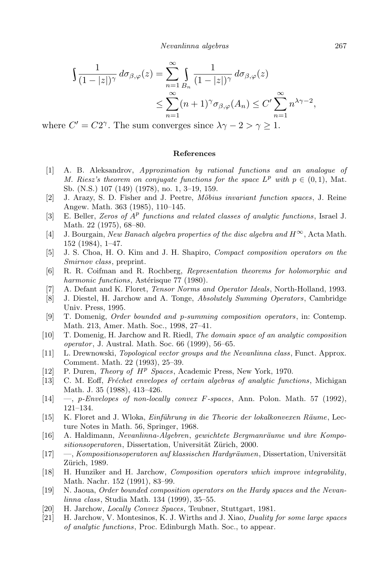$$
\int \frac{1}{(1-|z|)^{\gamma}} d\sigma_{\beta,\varphi}(z) = \sum_{n=1}^{\infty} \int_{B_n} \frac{1}{(1-|z|)^{\gamma}} d\sigma_{\beta,\varphi}(z)
$$
  

$$
\leq \sum_{n=1}^{\infty} (n+1)^{\gamma} \sigma_{\beta,\varphi}(A_n) \leq C' \sum_{n=1}^{\infty} n^{\lambda \gamma - 2},
$$

where  $C' = C2^{\gamma}$ . The sum converges since  $\lambda \gamma - 2 > \gamma \ge 1$ .

## **References**

- [1] A. B. Aleksandrov, *Approximation by rational functions and an analogue of M.* Riesz's theorem on conjugate functions for the space  $L^p$  with  $p \in (0,1)$ , Mat. Sb. (N.S.) 107 (149) (1978), no. 1, 3–19, 159.
- [2] J. Arazy, S. D. Fisher and J. Peetre, *M¨obius invariant function spaces*, J. Reine Angew. Math. 363 (1985), 110–145.
- [3] E. Beller, *Zeros of A p functions and related classes of analytic functions*, Israel J. Math. 22 (1975), 68–80.
- $[4]$  J. Bourgain, *New Banach algebra properties of the disc algebra and*  $H^{\infty}$ , Acta Math. 152 (1984), 1–47.
- [5] J. S. Choa, H. O. Kim and J. H. Shapiro, *Compact composition operators on the Smirnov class*, preprint.
- [6] R. R. Coifman and R. Rochberg, *Representation theorems for holomorphic and harmonic functions*, Astérisque 77 (1980).
- [7] A. Defant and K. Floret, *Tensor Norms and Operator Ideals*, North-Holland, 1993.
- [8] J. Diestel, H. Jarchow and A. Tonge, *Absolutely Summing Operators*, Cambridge Univ. Press, 1995.
- [9] T. Domenig, *Order bounded and p-summing composition operators*, in: Contemp. Math. 213, Amer. Math. Soc., 1998, 27–41.
- [10] T. Domenig, H. Jarchow and R. Riedl, *The domain space of an analytic composition operator*, J. Austral. Math. Soc. 66 (1999), 56–65.
- [11] L. Drewnowski, *Topological vector groups and the Nevanlinna class*, Funct. Approx. Comment. Math. 22 (1993), 25–39.
- [12] P. Duren, *Theory of H <sup>p</sup> Spaces*, Academic Press, New York, 1970.
- [13] C. M. Eoff, *Fr´echet envelopes of certain algebras of analytic functions*, Michigan Math. J. 35 (1988), 413–426.
- [14] —, *p-Envelopes of non-locally convex F-spaces*, Ann. Polon. Math. 57 (1992), 121–134.
- [15] K. Floret and J. Wloka, *Einführung in die Theorie der lokalkonvexen Räume*, Lecture Notes in Math. 56, Springer, 1968.
- [16] A. Haldimann, *Nevanlinna-Algebren*, *gewichtete Bergmanräume und ihre Kompositionsoperatoren*, Dissertation, Universität Zürich, 2000.
- [17] —, *Kompositionsoperatoren auf klassischen Hardyräumen*, Dissertation, Universität Zürich, 1989.
- [18] H. Hunziker and H. Jarchow, *Composition operators which improve integrability*, Math. Nachr. 152 (1991), 83–99.
- [19] N. Jaoua, *Order bounded composition operators on the Hardy spaces and the Nevanlinna class*, Studia Math. 134 (1999), 35–55.
- [20] H. Jarchow, *Locally Convex Spaces*, Teubner, Stuttgart, 1981.
- [21] H. Jarchow, V. Montesinos, K. J. Wirths and J. Xiao, *Duality for some large spaces of analytic functions*, Proc. Edinburgh Math. Soc., to appear.